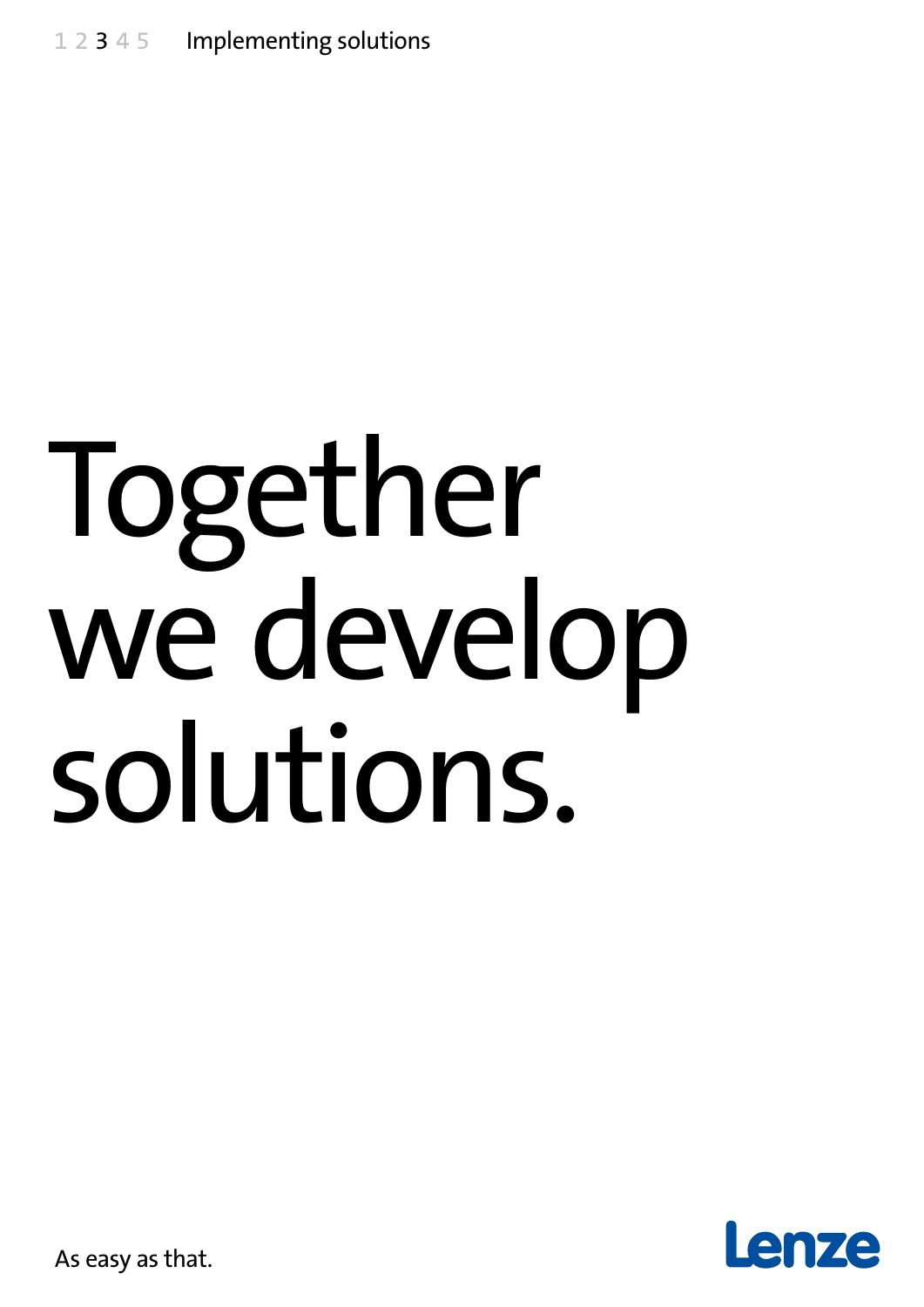# Together we develop solutions.



As easy as that.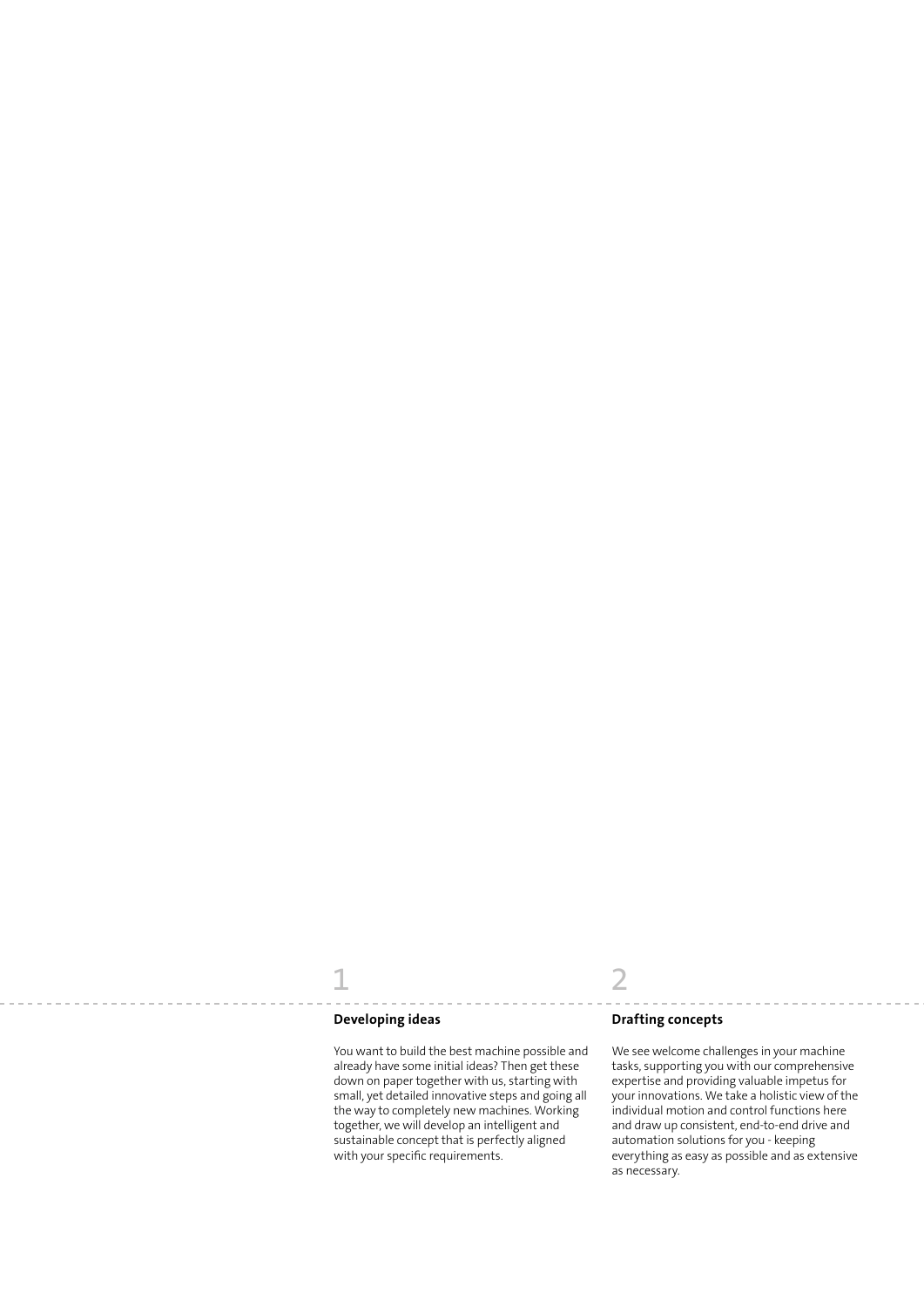#### **Developing ideas**

You want to build the best machine possible and already have some initial ideas? Then get these down on paper together with us, starting with small, yet detailed innovative steps and going all the way to completely new machines. Working together, we will develop an intelligent and sustainable concept that is perfectly aligned with your specific requirements.

### 1 2

#### **Drafting concepts**

We see welcome challenges in your machine tasks, supporting you with our comprehensive expertise and providing valuable impetus for your innovations. We take a holistic view of the individual motion and control functions here and draw up consistent, end-to-end drive and automation solutions for you - keeping everything as easy as possible and as extensive as necessary.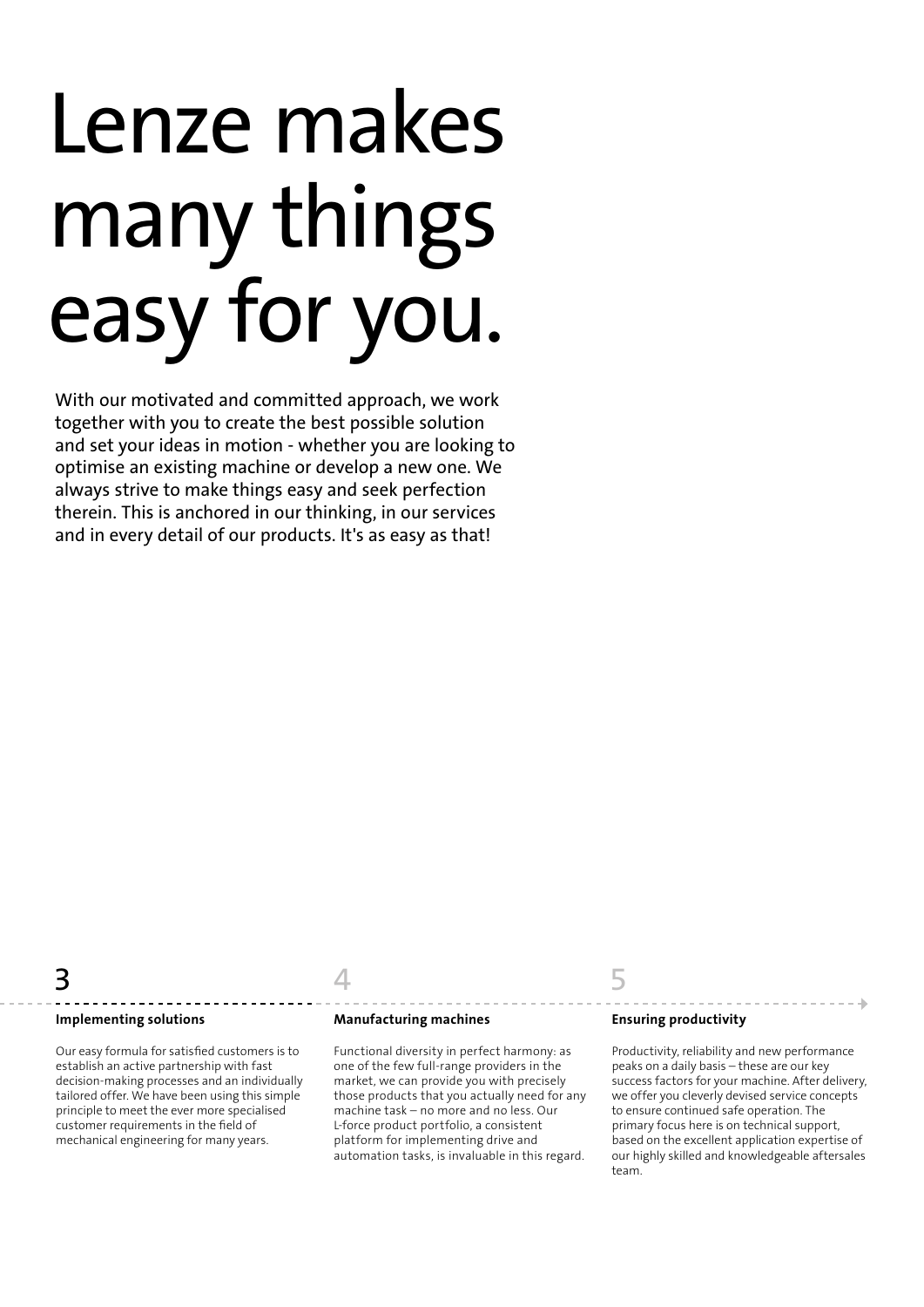# Lenze makes many things easy for you.

With our motivated and committed approach, we work together with you to create the best possible solution and set your ideas in motion - whether you are looking to optimise an existing machine or develop a new one. We always strive to make things easy and seek perfection therein. This is anchored in our thinking, in our services and in every detail of our products. It's as easy as that!

#### **Implementing solutions**

Our easy formula for satisfied customers is to establish an active partnership with fast decision-making processes and an individually tailored offer. We have been using this simple principle to meet the ever more specialised customer requirements in the field of mechanical engineering for many years.

#### **Manufacturing machines**

Functional diversity in perfect harmony: as one of the few full-range providers in the market, we can provide you with precisely those products that you actually need for any machine task – no more and no less. Our L-force product portfolio, a consistent platform for implementing drive and automation tasks, is invaluable in this regard.

#### **Ensuring productivity**

Productivity, reliability and new performance peaks on a daily basis – these are our key success factors for your machine. After delivery, we offer you cleverly devised service concepts to ensure continued safe operation. The primary focus here is on technical support, based on the excellent application expertise of our highly skilled and knowledgeable aftersales team.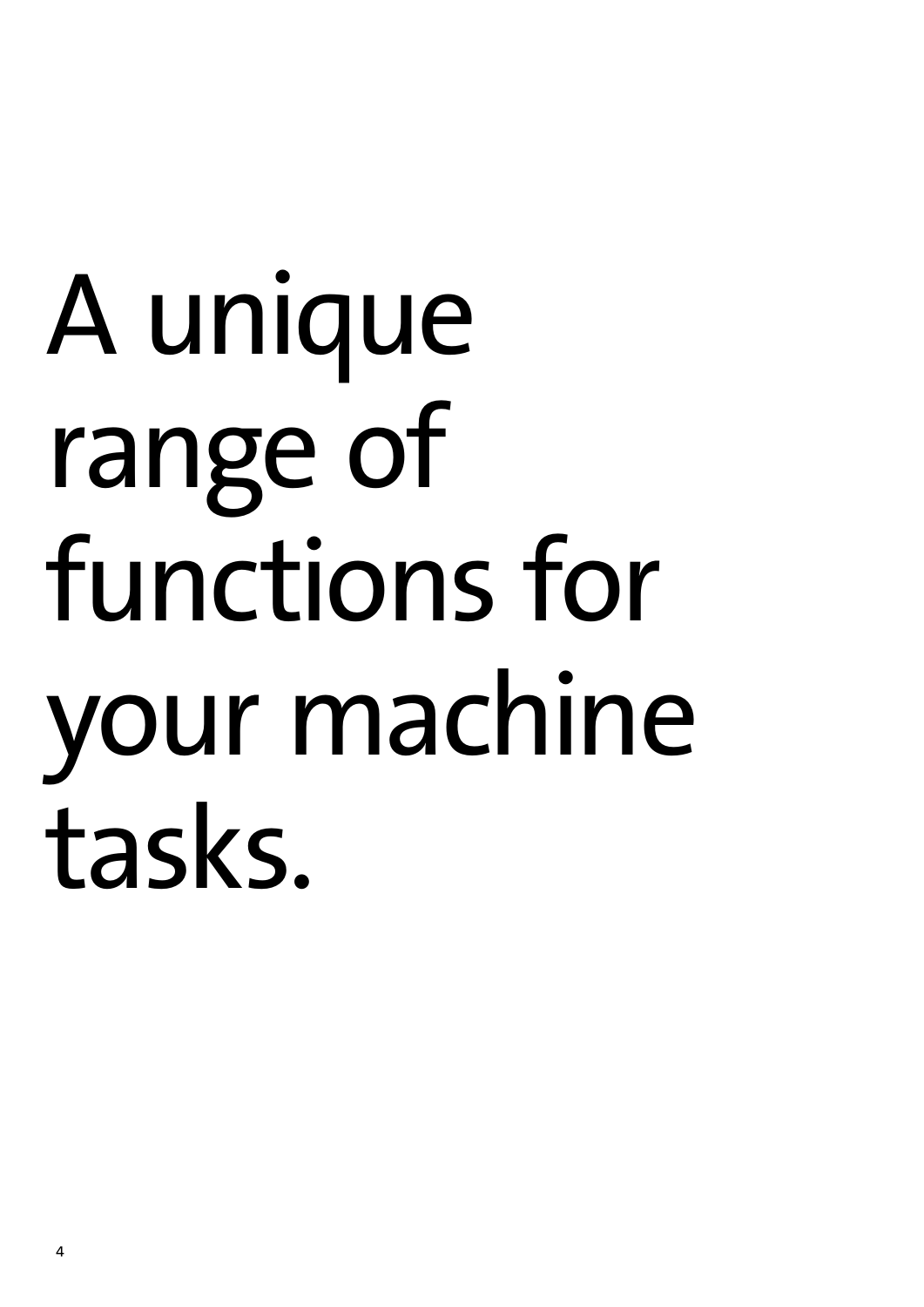# A unique range of functions for your machine tasks.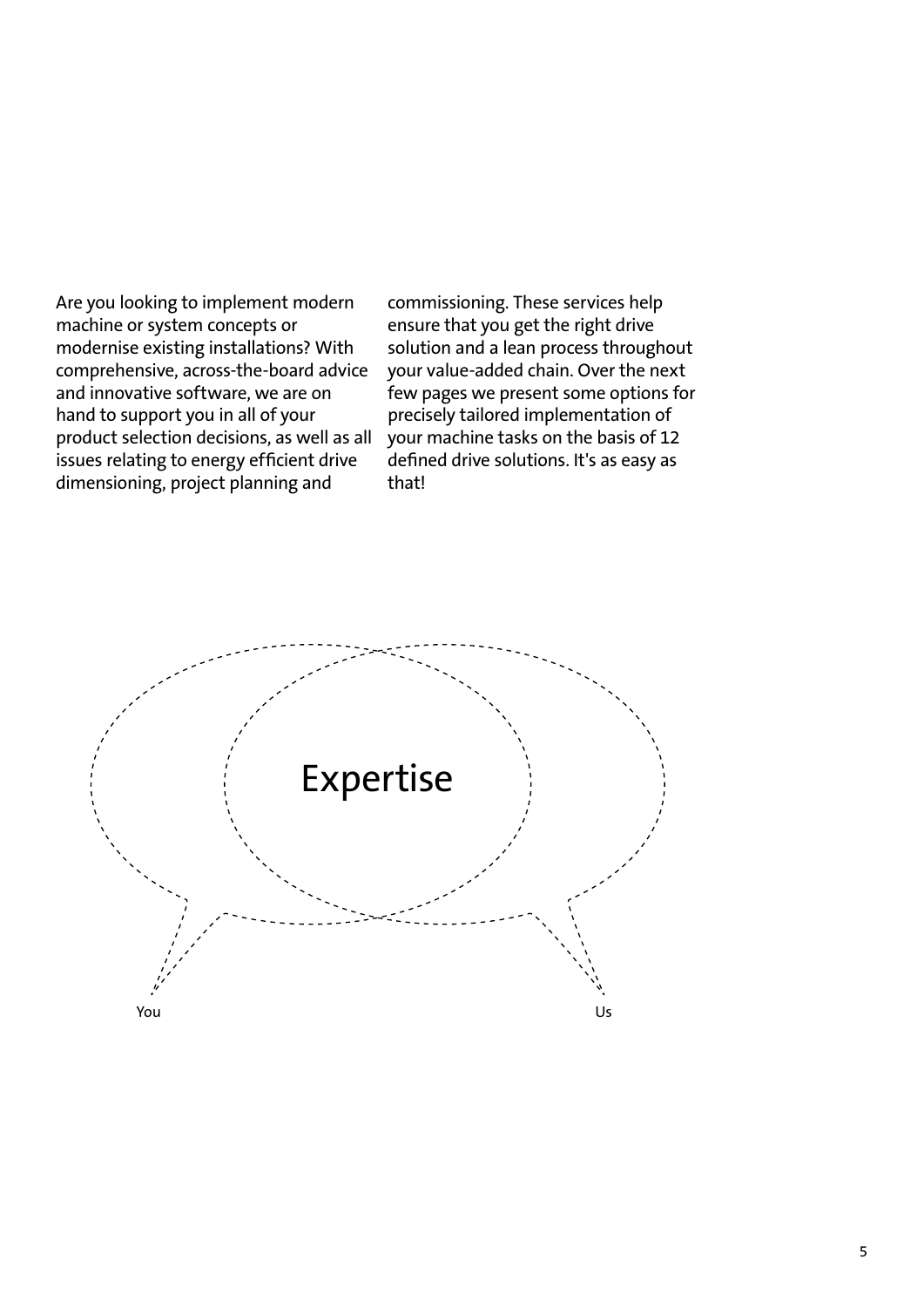Are you looking to implement modern machine or system concepts or modernise existing installations? With comprehensive, across-the-board advice and innovative software, we are on hand to support you in all of your product selection decisions, as well as all issues relating to energy efficient drive dimensioning, project planning and

commissioning. These services help ensure that you get the right drive solution and a lean process throughout your value-added chain. Over the next few pages we present some options for precisely tailored implementation of your machine tasks on the basis of 12 defined drive solutions. It's as easy as that!

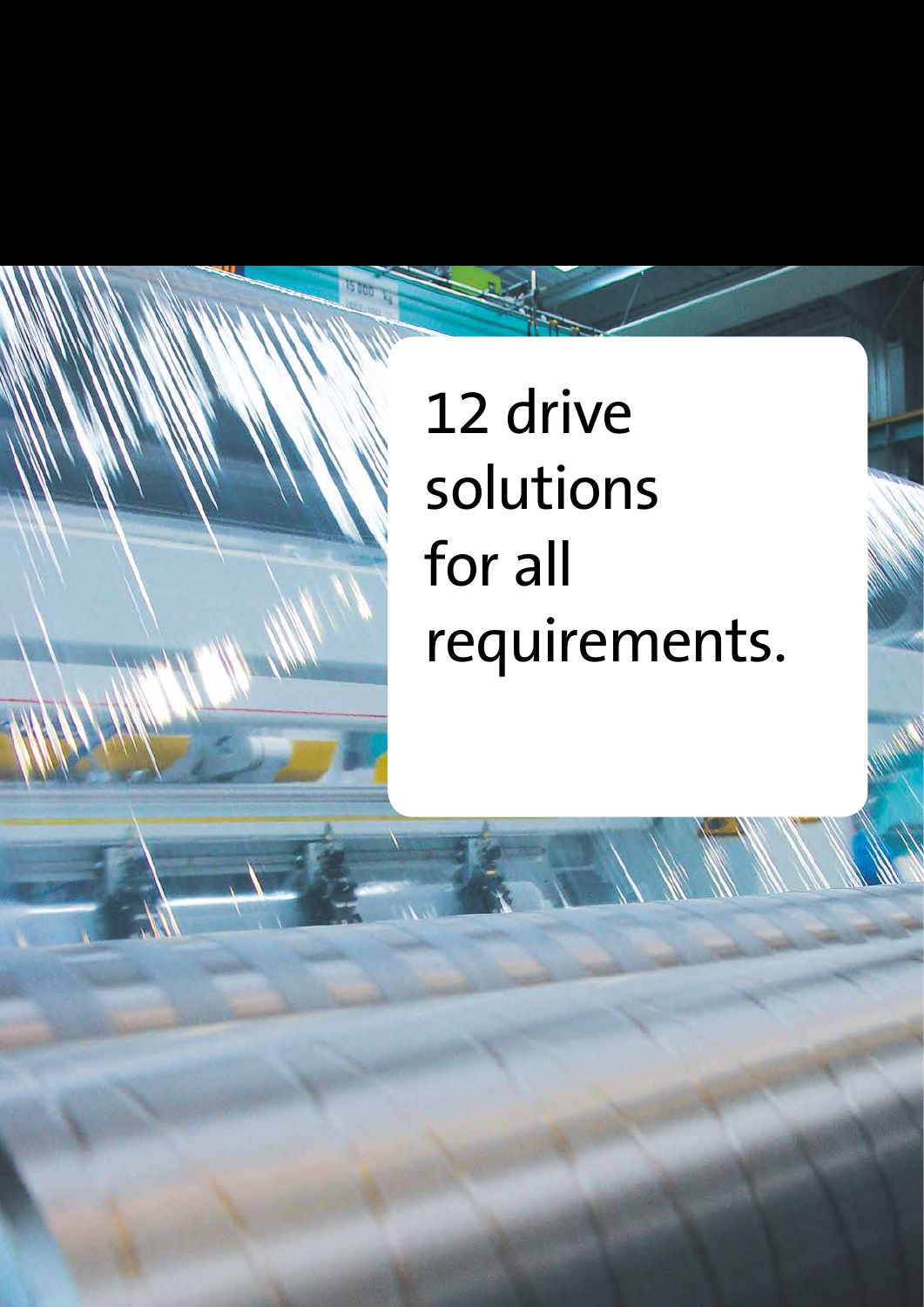### 12 drive solutions for all requirements.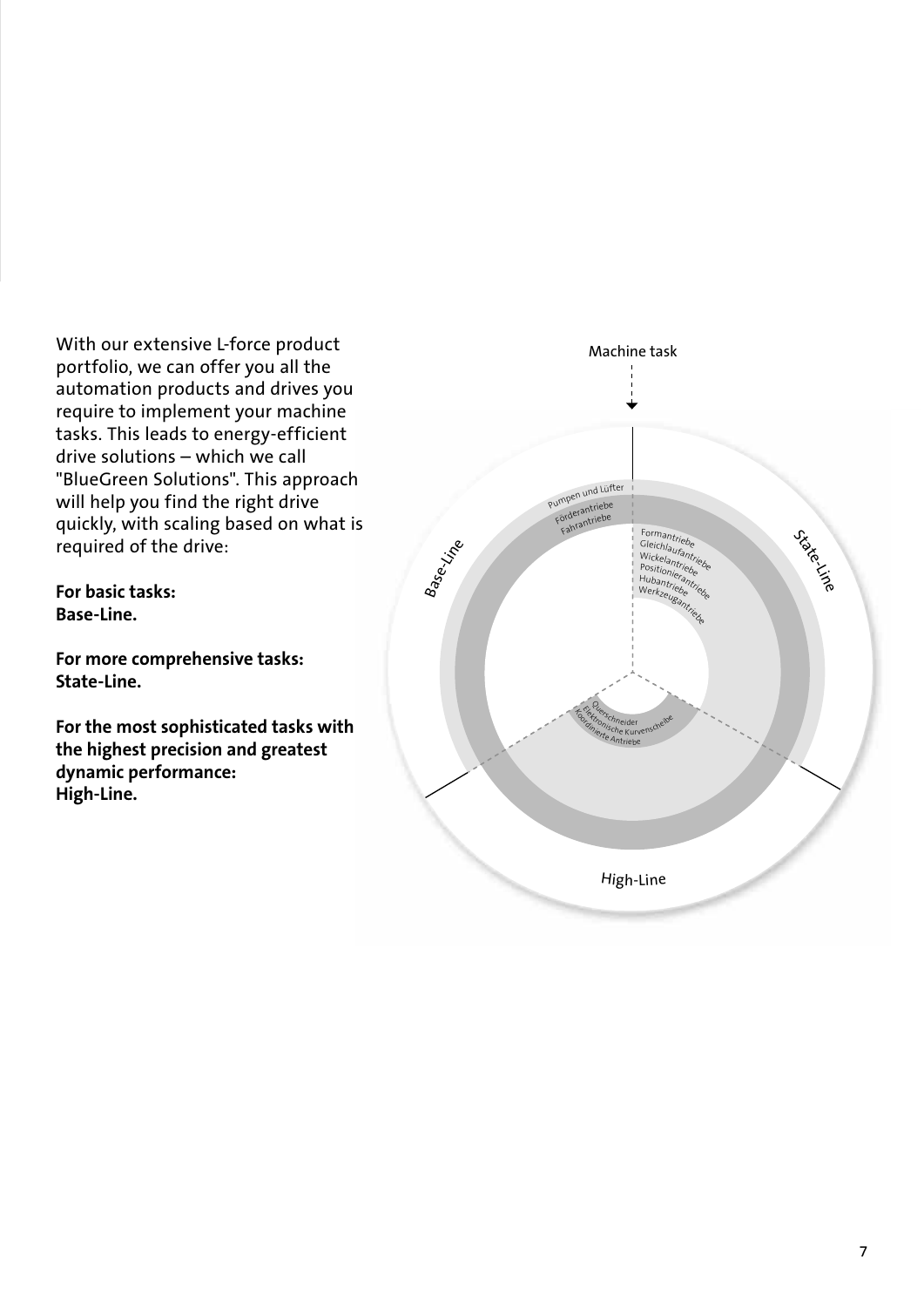With our extensive L-force product portfolio, we can offer you all the automation products and drives you require to implement your machine tasks. This leads to energy-efficient drive solutions – which we call "BlueGreen Solutions". This approach will help you find the right drive quickly, with scaling based on what is required of the drive:

**For basic tasks: Base-Line.** 

**For more comprehensive tasks: State-Line.** 

**For the most sophisticated tasks with the highest precision and greatest dynamic performance: High-Line.**

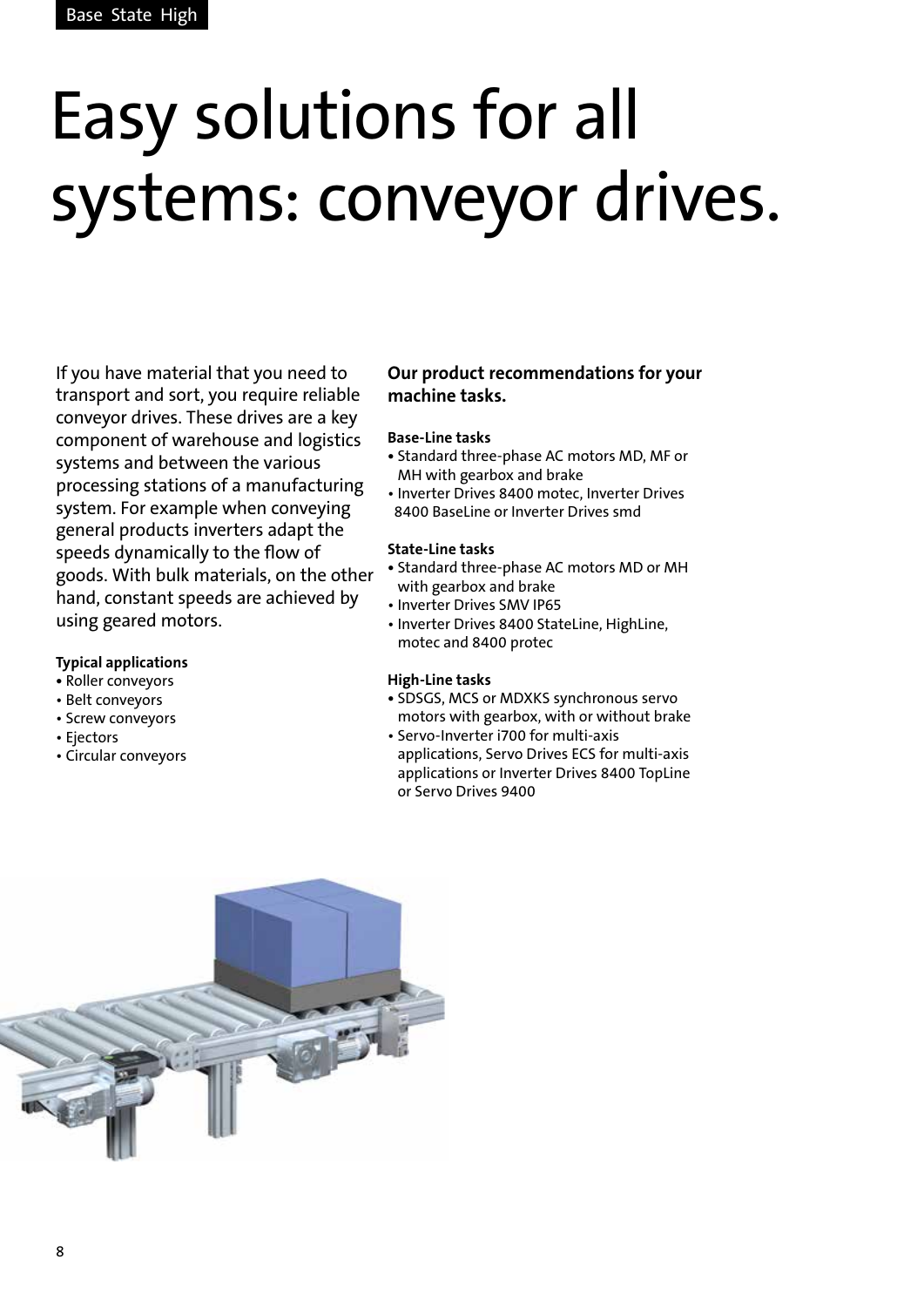# Easy solutions for all systems: conveyor drives.

If you have material that you need to transport and sort, you require reliable conveyor drives. These drives are a key component of warehouse and logistics systems and between the various processing stations of a manufacturing system. For example when conveying general products inverters adapt the speeds dynamically to the flow of goods. With bulk materials, on the other hand, constant speeds are achieved by using geared motors.

#### **Typical applications**

- Roller conveyors
- Belt conveyors
- Screw conveyors
- Ejectors
- Circular conveyors

#### **Our product recommendations for your machine tasks.**

#### **Base-Line tasks**

- **•** Standard three-phase AC motors MD, MF or MH with gearbox and brake
- Inverter Drives 8400 motec, Inverter Drives 8400 BaseLine or Inverter Drives smd

#### **State-Line tasks**

- Standard three-phase AC motors MD or MH with gearbox and brake
- Inverter Drives SMV IP65
- Inverter Drives 8400 StateLine, HighLine, motec and 8400 protec

- SDSGS, MCS or MDXKS synchronous servo motors with gearbox, with or without brake
- Servo-Inverter i700 for multi-axis applications, Servo Drives ECS for multi-axis applications or Inverter Drives 8400 TopLine or Servo Drives 9400

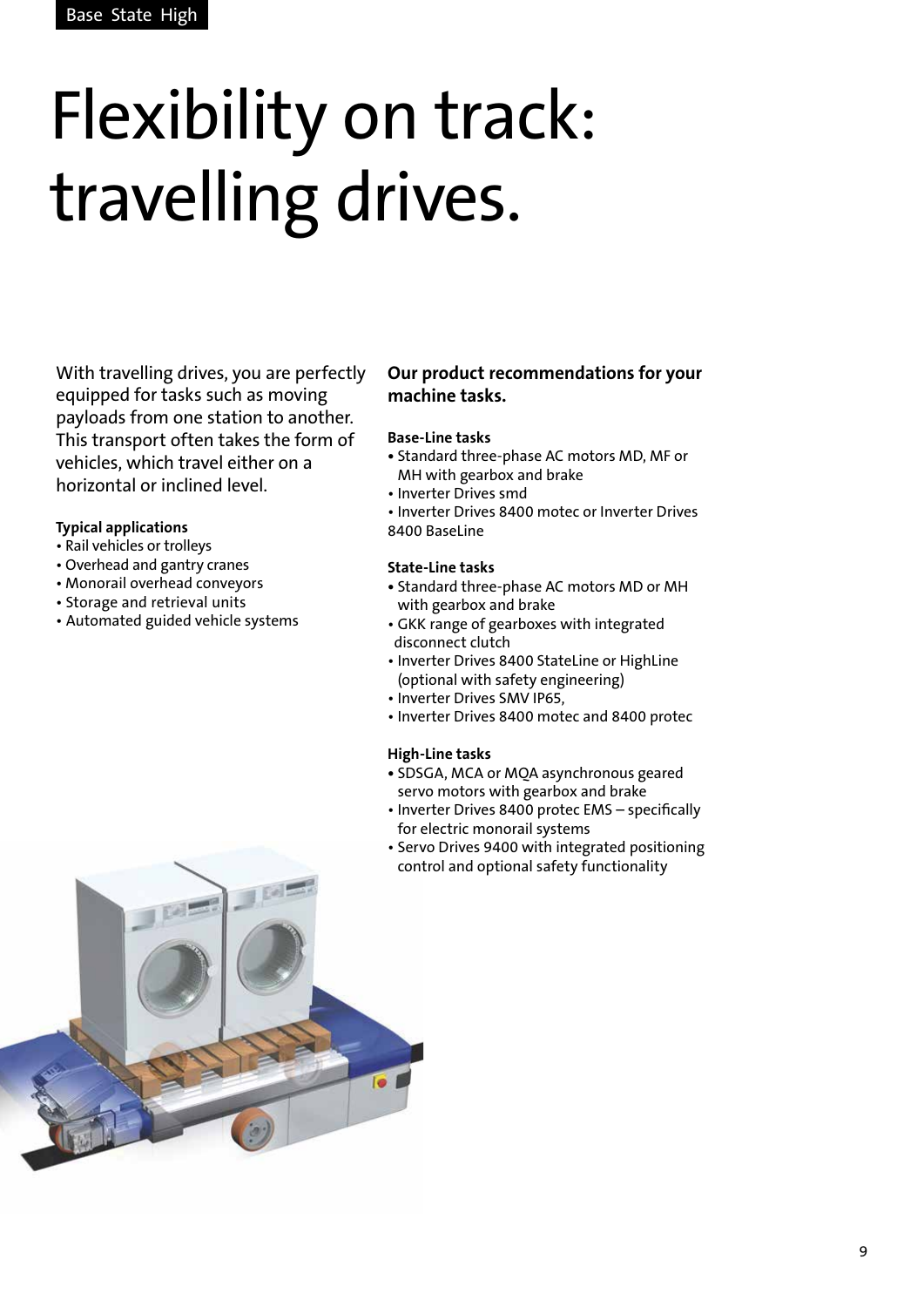# Flexibility on track: travelling drives.

With travelling drives, you are perfectly equipped for tasks such as moving payloads from one station to another. This transport often takes the form of vehicles, which travel either on a horizontal or inclined level.

#### **Typical applications**

- Rail vehicles or trolleys
- Overhead and gantry cranes
- Monorail overhead conveyors
- Storage and retrieval units
- Automated guided vehicle systems

#### **Our product recommendations for your machine tasks.**

#### **Base-Line tasks**

- Standard three-phase AC motors MD, MF or MH with gearbox and brake
- Inverter Drives smd
- Inverter Drives 8400 motec or Inverter Drives 8400 BaseLine

#### **State-Line tasks**

- Standard three-phase AC motors MD or MH with gearbox and brake
- GKK range of gearboxes with integrated disconnect clutch
- Inverter Drives 8400 StateLine or HighLine (optional with safety engineering)
- Inverter Drives SMV IP65,
- Inverter Drives 8400 motec and 8400 protec

- SDSGA, MCA or MQA asynchronous geared servo motors with gearbox and brake
- Inverter Drives 8400 protec EMS specifically for electric monorail systems
- Servo Drives 9400 with integrated positioning control and optional safety functionality

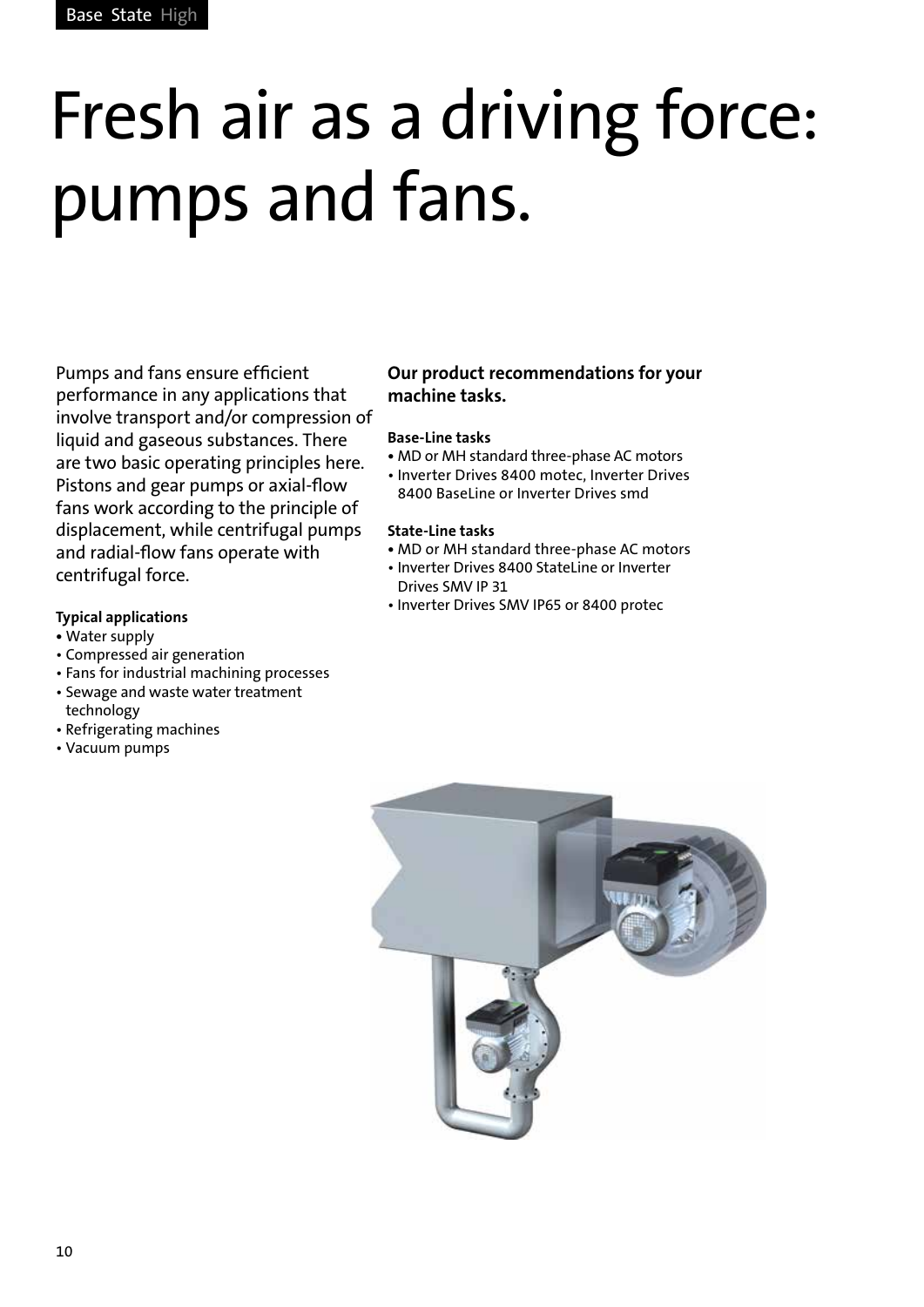# Fresh air as a driving force: pumps and fans.

Pumps and fans ensure efficient performance in any applications that involve transport and/or compression of liquid and gaseous substances. There are two basic operating principles here. Pistons and gear pumps or axial-flow fans work according to the principle of displacement, while centrifugal pumps and radial-flow fans operate with centrifugal force.

#### **Typical applications**

- Water supply
- Compressed air generation
- Fans for industrial machining processes
- Sewage and waste water treatment
- technology • Refrigerating machines
- Vacuum pumps

#### **Our product recommendations for your machine tasks.**

#### **Base-Line tasks**

- MD or MH standard three-phase AC motors
- Inverter Drives 8400 motec, Inverter Drives 8400 BaseLine or Inverter Drives smd

#### **State-Line tasks**

- MD or MH standard three-phase AC motors
- Inverter Drives 8400 StateLine or Inverter Drives SMV IP 31
- Inverter Drives SMV IP65 or 8400 protec

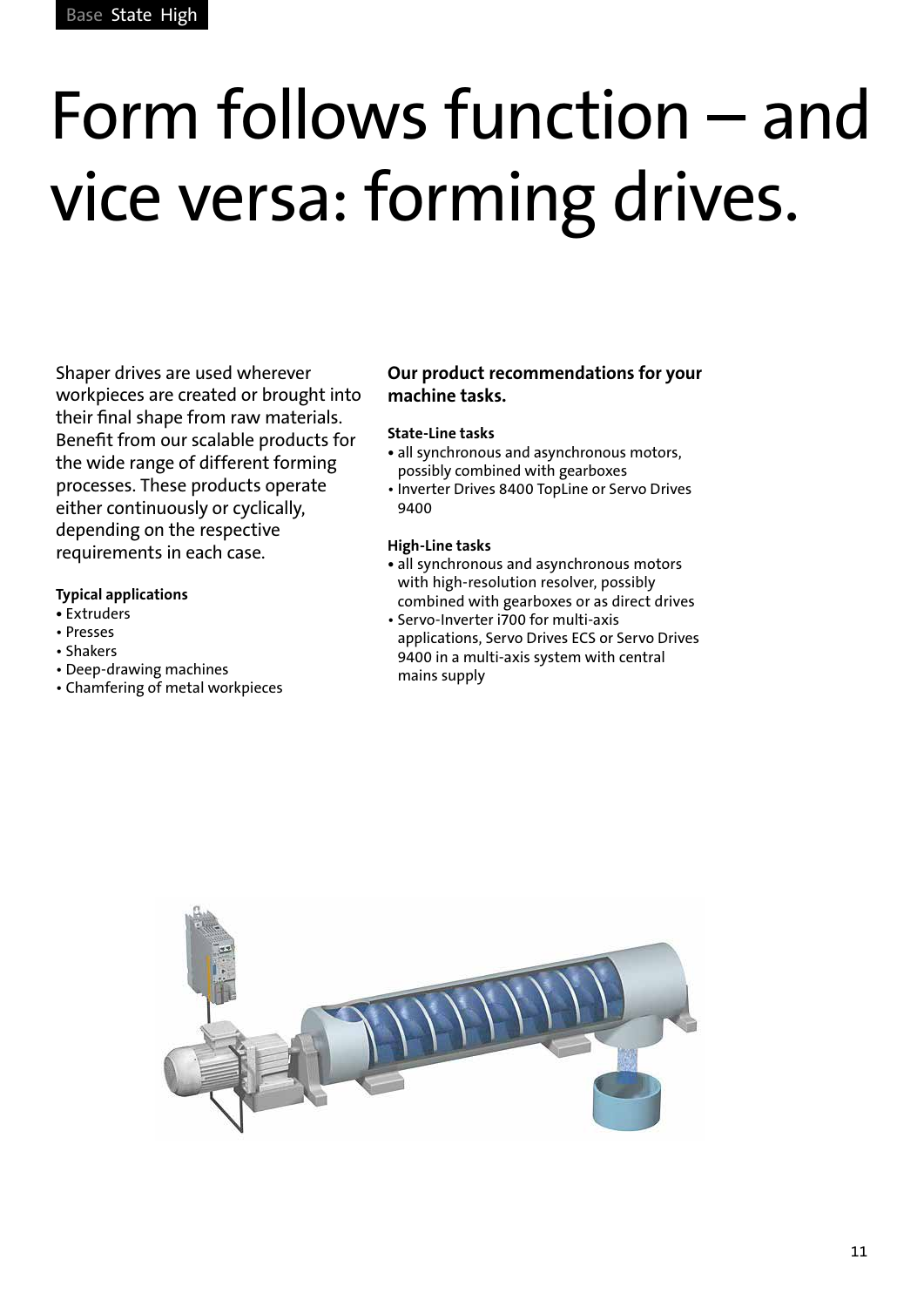# Form follows function – and vice versa: forming drives.

Shaper drives are used wherever workpieces are created or brought into their final shape from raw materials. Benefit from our scalable products for the wide range of different forming processes. These products operate either continuously or cyclically, depending on the respective requirements in each case.

#### **Typical applications**

- Extruders
- Presses
- Shakers
- Deep-drawing machines
- Chamfering of metal workpieces

#### **Our product recommendations for your machine tasks.**

#### **State-Line tasks**

- all synchronous and asynchronous motors, possibly combined with gearboxes
- Inverter Drives 8400 TopLine or Servo Drives 9400

- all synchronous and asynchronous motors with high-resolution resolver, possibly combined with gearboxes or as direct drives
- Servo-Inverter i700 for multi-axis applications, Servo Drives ECS or Servo Drives 9400 in a multi-axis system with central mains supply

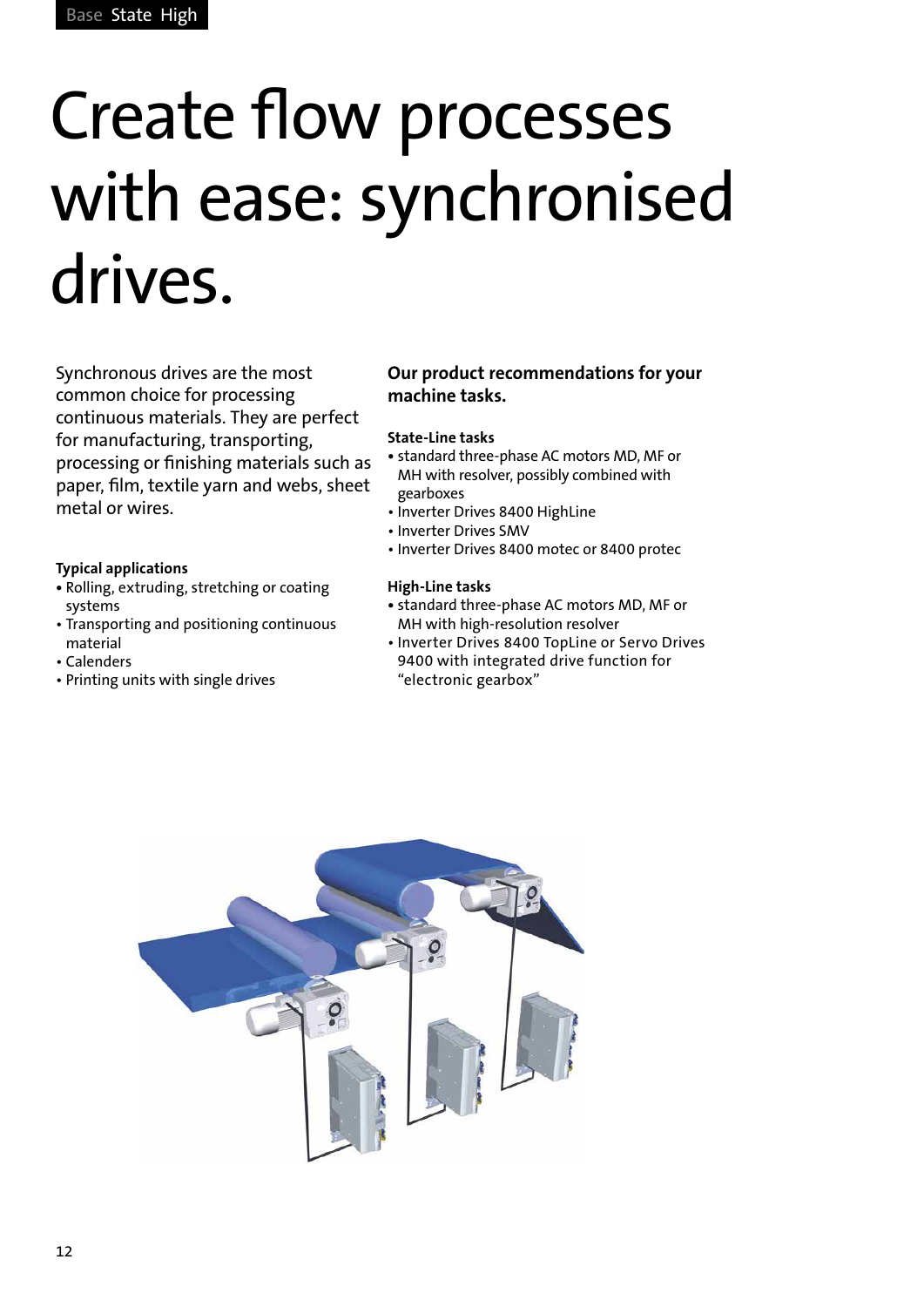## Create flow processes with ease: synchronised drives.

Synchronous drives are the most common choice for processing continuous materials. They are perfect for manufacturing, transporting, processing or finishing materials such as paper, film, textile yarn and webs, sheet metal or wires.

#### **Typical applications**

- Rolling, extruding, stretching or coating systems
- Transporting and positioning continuous material
- Calenders
- Printing units with single drives

#### **Our product recommendations for your machine tasks.**

#### **State-Line tasks**

- standard three-phase AC motors MD, MF or MH with resolver, possibly combined with gearboxes
- Inverter Drives 8400 HighLine
- Inverter Drives SMV
- Inverter Drives 8400 motec or 8400 protec

- standard three-phase AC motors MD, MF or MH with high-resolution resolver
- Inverter Drives 8400 TopLine or Servo Drives 9400 with integrated drive function for "electronic gearbox"

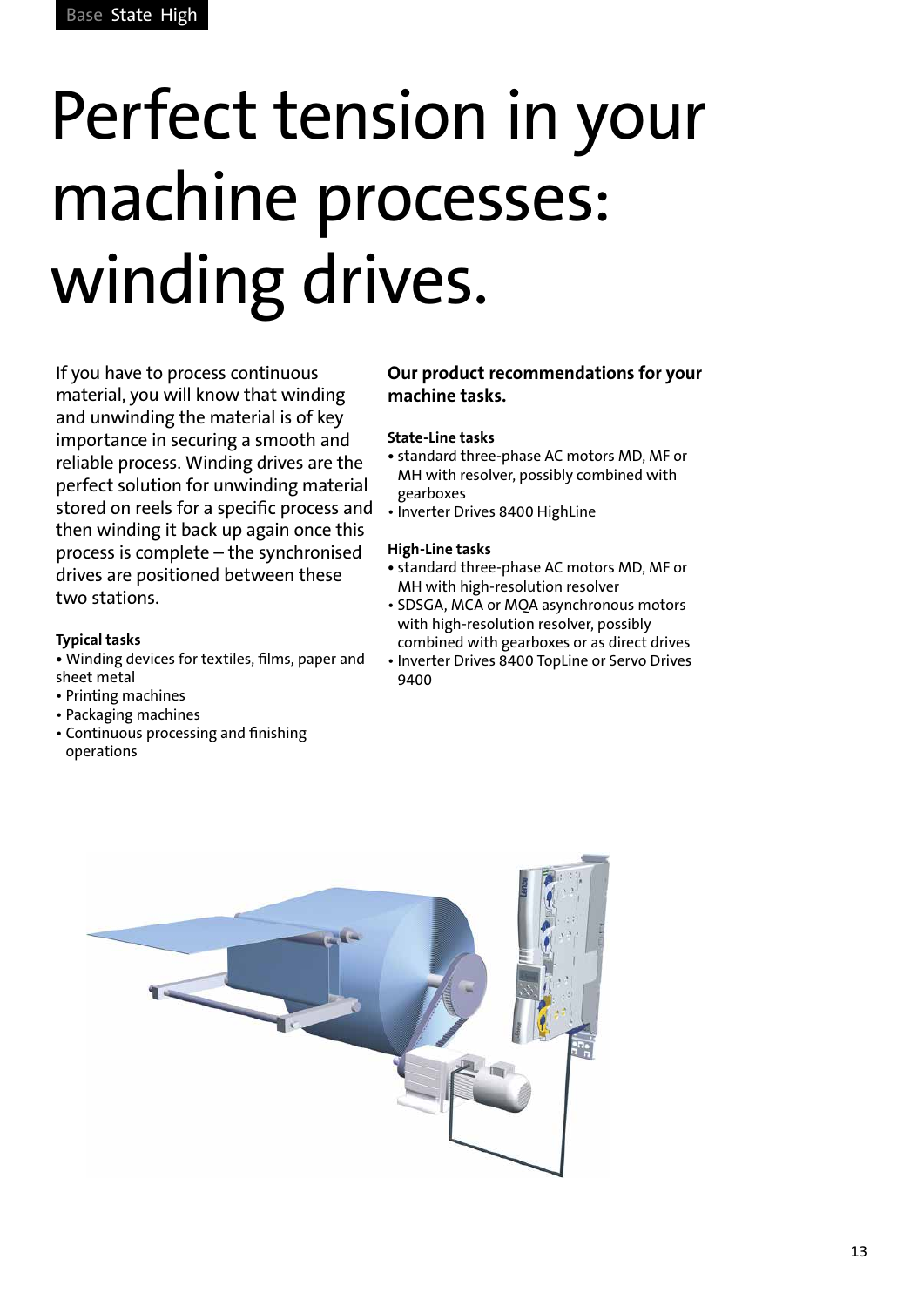# Perfect tension in your machine processes: winding drives.

If you have to process continuous material, you will know that winding and unwinding the material is of key importance in securing a smooth and reliable process. Winding drives are the perfect solution for unwinding material stored on reels for a specific process and then winding it back up again once this process is complete – the synchronised drives are positioned between these two stations.

#### **Typical tasks**

- Winding devices for textiles, films, paper and sheet metal
- Printing machines
- Packaging machines
- Continuous processing and finishing operations

#### **Our product recommendations for your machine tasks.**

#### **State-Line tasks**

- standard three-phase AC motors MD, MF or MH with resolver, possibly combined with gearboxes
- Inverter Drives 8400 HighLine

- standard three-phase AC motors MD, MF or MH with high-resolution resolver
- SDSGA, MCA or MQA asynchronous motors with high-resolution resolver, possibly combined with gearboxes or as direct drives
- Inverter Drives 8400 TopLine or Servo Drives 9400

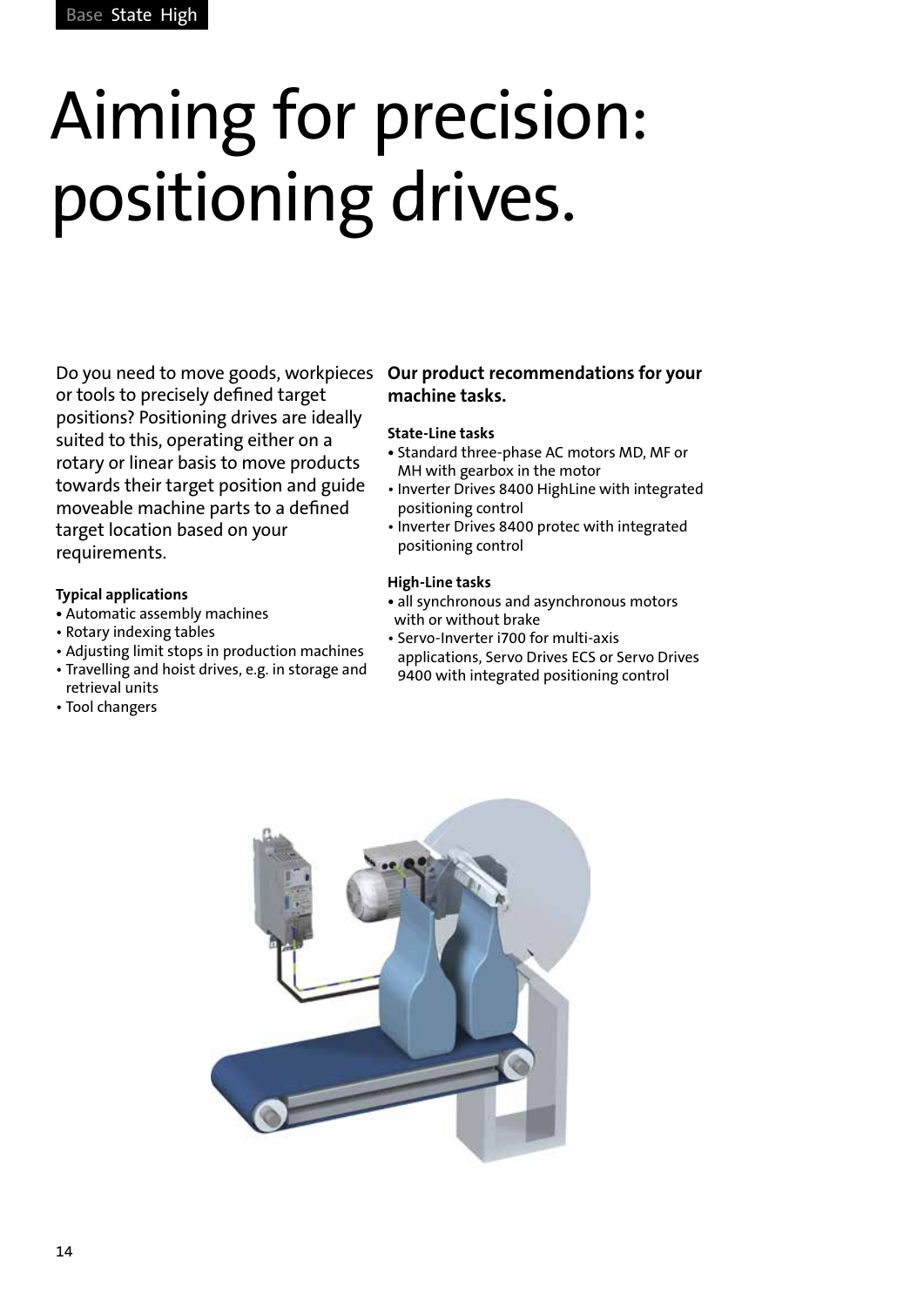# Aiming for precision: positioning drives.

Do you need to move goods, workpieces **Our product recommendations for your**  or tools to precisely defined target positions? Positioning drives are ideally suited to this, operating either on a rotary or linear basis to move products towards their target position and guide moveable machine parts to a defined target location based on your requirements.

#### **Typical applications**

- Automatic assembly machines
- Rotary indexing tables
- Adjusting limit stops in production machines
- Travelling and hoist drives, e.g. in storage and retrieval units
- Tool changers

### **machine tasks.**

#### **State-Line tasks**

- Standard three-phase AC motors MD, MF or MH with gearbox in the motor
- Inverter Drives 8400 HighLine with integrated positioning control
- Inverter Drives 8400 protec with integrated positioning control

- **•** all synchronous and asynchronous motors with or without brake
- Servo-Inverter i700 for multi-axis applications, Servo Drives ECS or Servo Drives 9400 with integrated positioning control

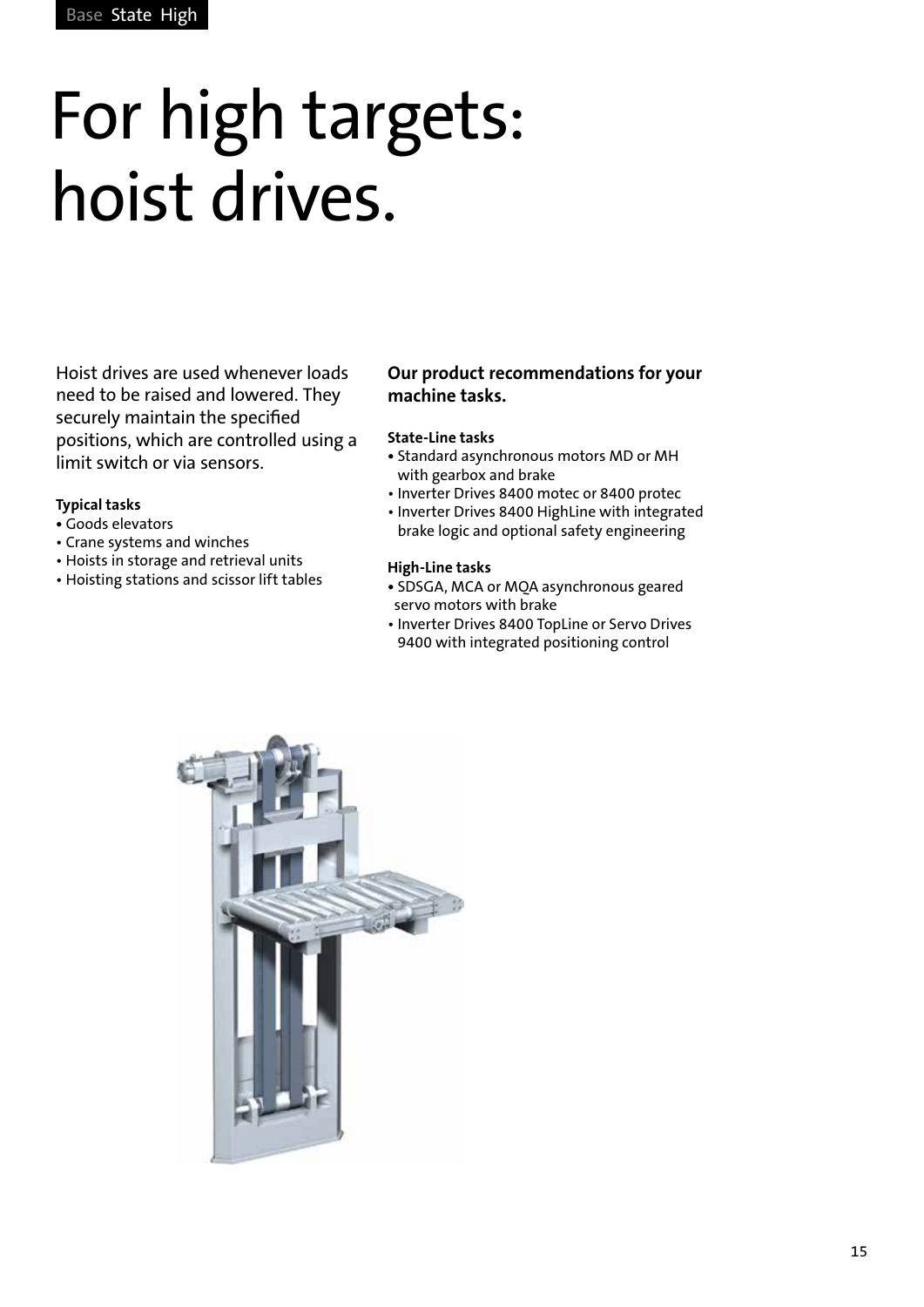### For high targets: hoist drives.

Hoist drives are used whenever loads need to be raised and lowered. They securely maintain the specified positions, which are controlled using a limit switch or via sensors.

#### **Typical tasks**

- Goods elevators
- Crane systems and winches
- Hoists in storage and retrieval units
- Hoisting stations and scissor lift tables

#### **Our product recommendations for your machine tasks.**

#### **State-Line tasks**

- Standard asynchronous motors MD or MH with gearbox and brake
- Inverter Drives 8400 motec or 8400 protec
- Inverter Drives 8400 HighLine with integrated brake logic and optional safety engineering

- **•** SDSGA, MCA or MQA asynchronous geared servo motors with brake
- Inverter Drives 8400 TopLine or Servo Drives 9400 with integrated positioning control

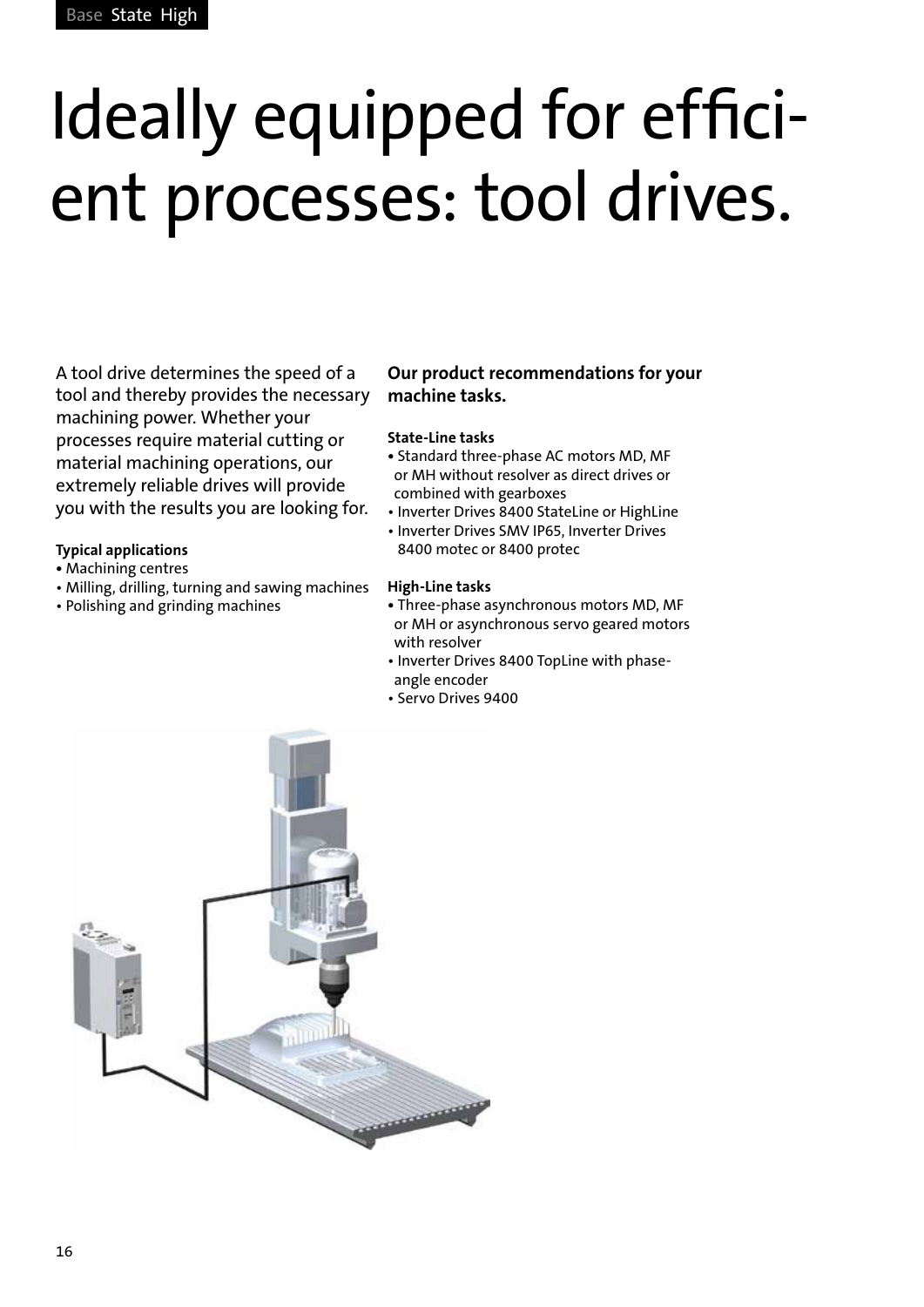# Ideally equipped for efficient processes: tool drives.

A tool drive determines the speed of a tool and thereby provides the necessary machining power. Whether your processes require material cutting or material machining operations, our extremely reliable drives will provide you with the results you are looking for.

#### **Typical applications**

- Machining centres
- Milling, drilling, turning and sawing machines
- Polishing and grinding machines

#### **Our product recommendations for your machine tasks.**

#### **State-Line tasks**

- **•** Standard three-phase AC motors MD, MF or MH without resolver as direct drives or combined with gearboxes
- Inverter Drives 8400 StateLine or HighLine
- Inverter Drives SMV IP65, Inverter Drives 8400 motec or 8400 protec

- **•** Three-phase asynchronous motors MD, MF or MH or asynchronous servo geared motors with resolver
- Inverter Drives 8400 TopLine with phaseangle encoder
- Servo Drives 9400

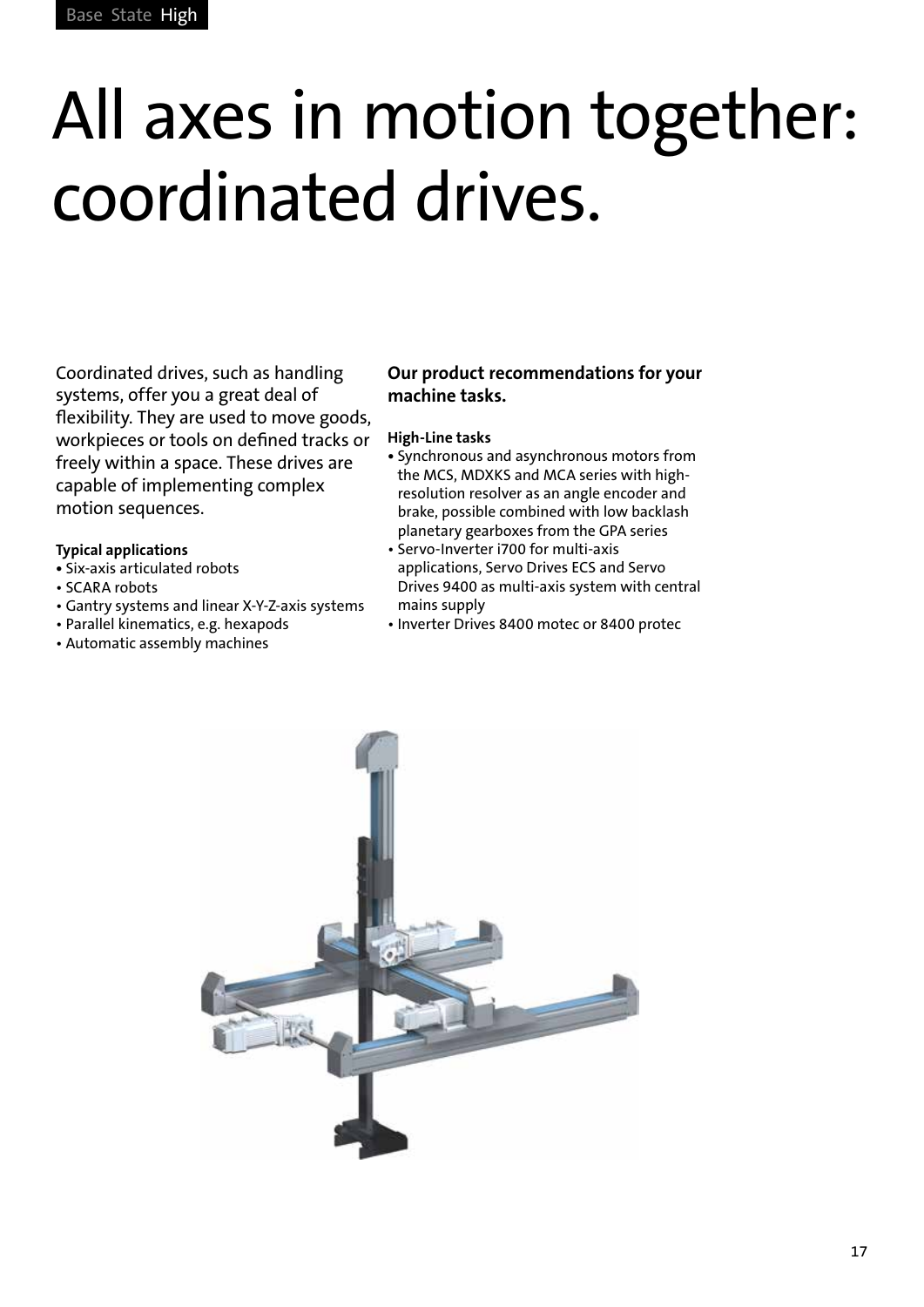### All axes in motion together: coordinated drives.

Coordinated drives, such as handling systems, offer you a great deal of flexibility. They are used to move goods, workpieces or tools on defined tracks or freely within a space. These drives are capable of implementing complex motion sequences.

#### **Typical applications**

- Six-axis articulated robots
- SCARA robots
- Gantry systems and linear X-Y-Z-axis systems
- Parallel kinematics, e.g. hexapods
- Automatic assembly machines

#### **Our product recommendations for your machine tasks.**

- Synchronous and asynchronous motors from the MCS, MDXKS and MCA series with highresolution resolver as an angle encoder and brake, possible combined with low backlash planetary gearboxes from the GPA series
- Servo-Inverter i700 for multi-axis applications, Servo Drives ECS and Servo Drives 9400 as multi-axis system with central mains supply
- Inverter Drives 8400 motec or 8400 protec

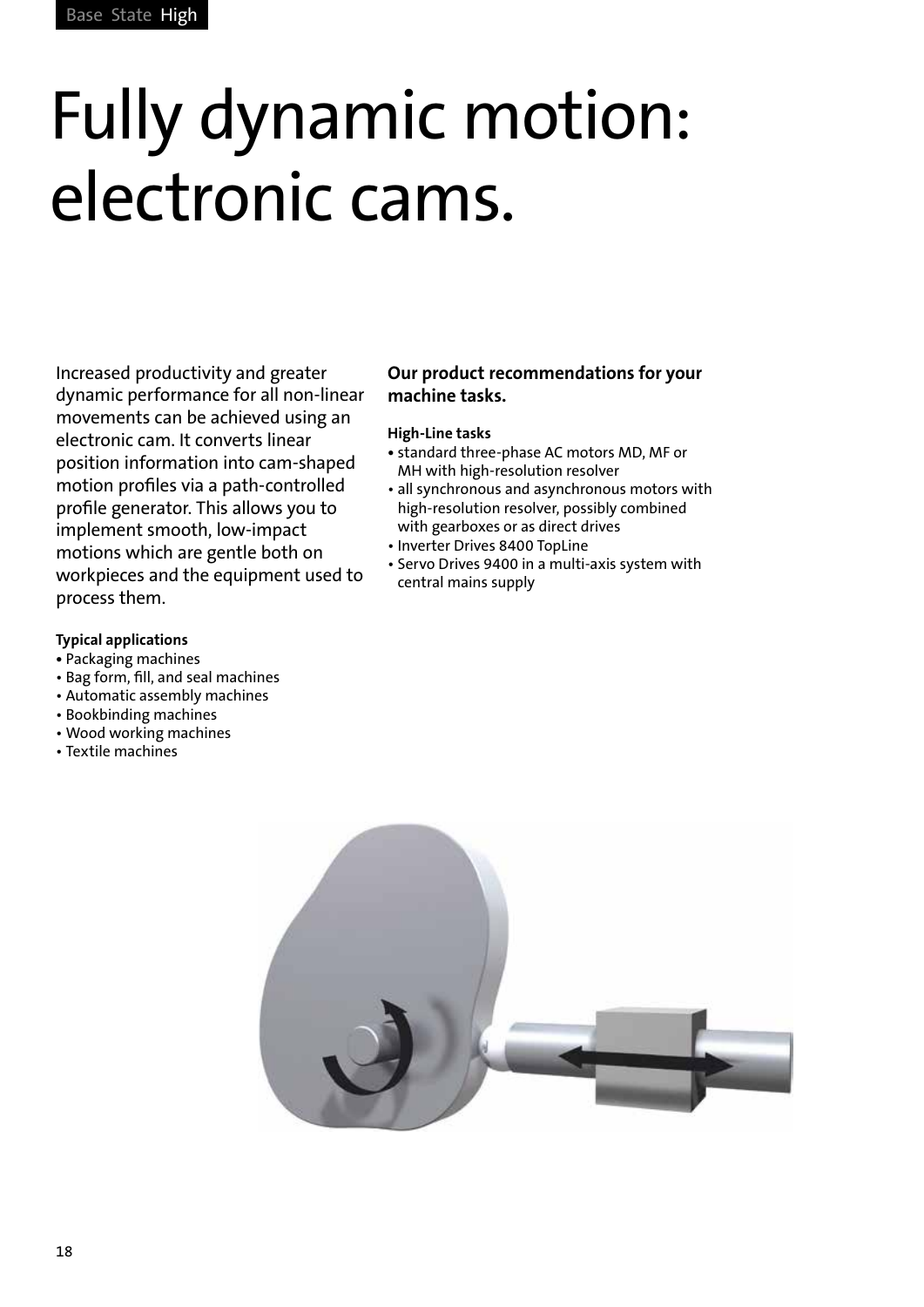# Fully dynamic motion: electronic cams.

Increased productivity and greater dynamic performance for all non-linear movements can be achieved using an electronic cam. It converts linear position information into cam-shaped motion profiles via a path-controlled profile generator. This allows you to implement smooth, low-impact motions which are gentle both on workpieces and the equipment used to process them.

#### **Typical applications**

- Packaging machines
- Bag form, fill, and seal machines
- Automatic assembly machines
- Bookbinding machines
- Wood working machines
- Textile machines

#### **Our product recommendations for your machine tasks.**

- standard three-phase AC motors MD, MF or MH with high-resolution resolver
- all synchronous and asynchronous motors with high-resolution resolver, possibly combined with gearboxes or as direct drives
- Inverter Drives 8400 TopLine
- Servo Drives 9400 in a multi-axis system with central mains supply

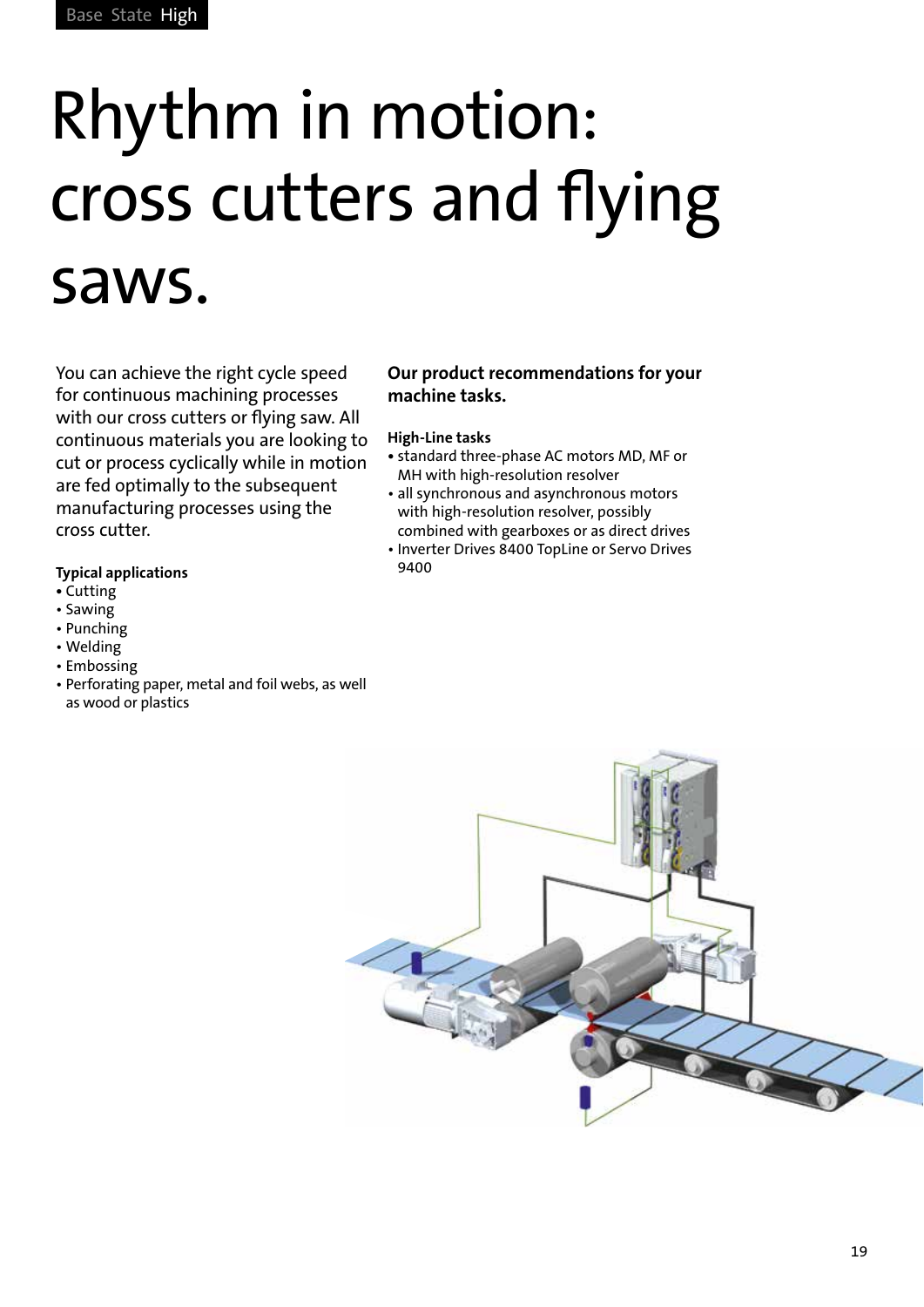# Rhythm in motion: cross cutters and flying saws.

You can achieve the right cycle speed for continuous machining processes with our cross cutters or flying saw. All continuous materials you are looking to cut or process cyclically while in motion are fed optimally to the subsequent manufacturing processes using the cross cutter.

#### **Typical applications**

- Cutting
- Sawing
- Punching
- Welding
- Embossing
- Perforating paper, metal and foil webs, as well as wood or plastics

#### **Our product recommendations for your machine tasks.**

- standard three-phase AC motors MD, MF or MH with high-resolution resolver
- all synchronous and asynchronous motors with high-resolution resolver, possibly combined with gearboxes or as direct drives
- Inverter Drives 8400 TopLine or Servo Drives 9400

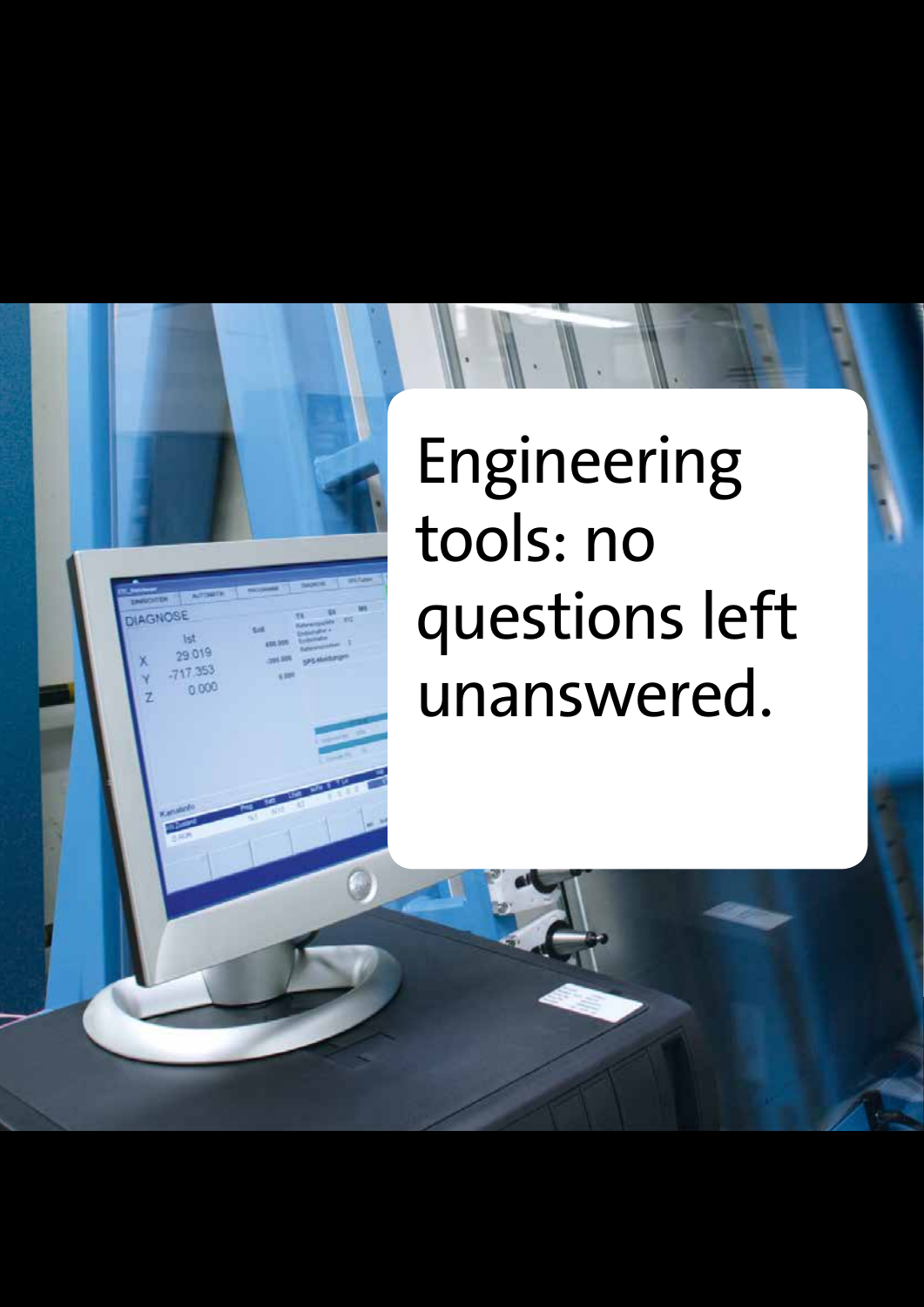### Engineering tools: no questions left unanswered.

té. 29.019 17 353  $0000$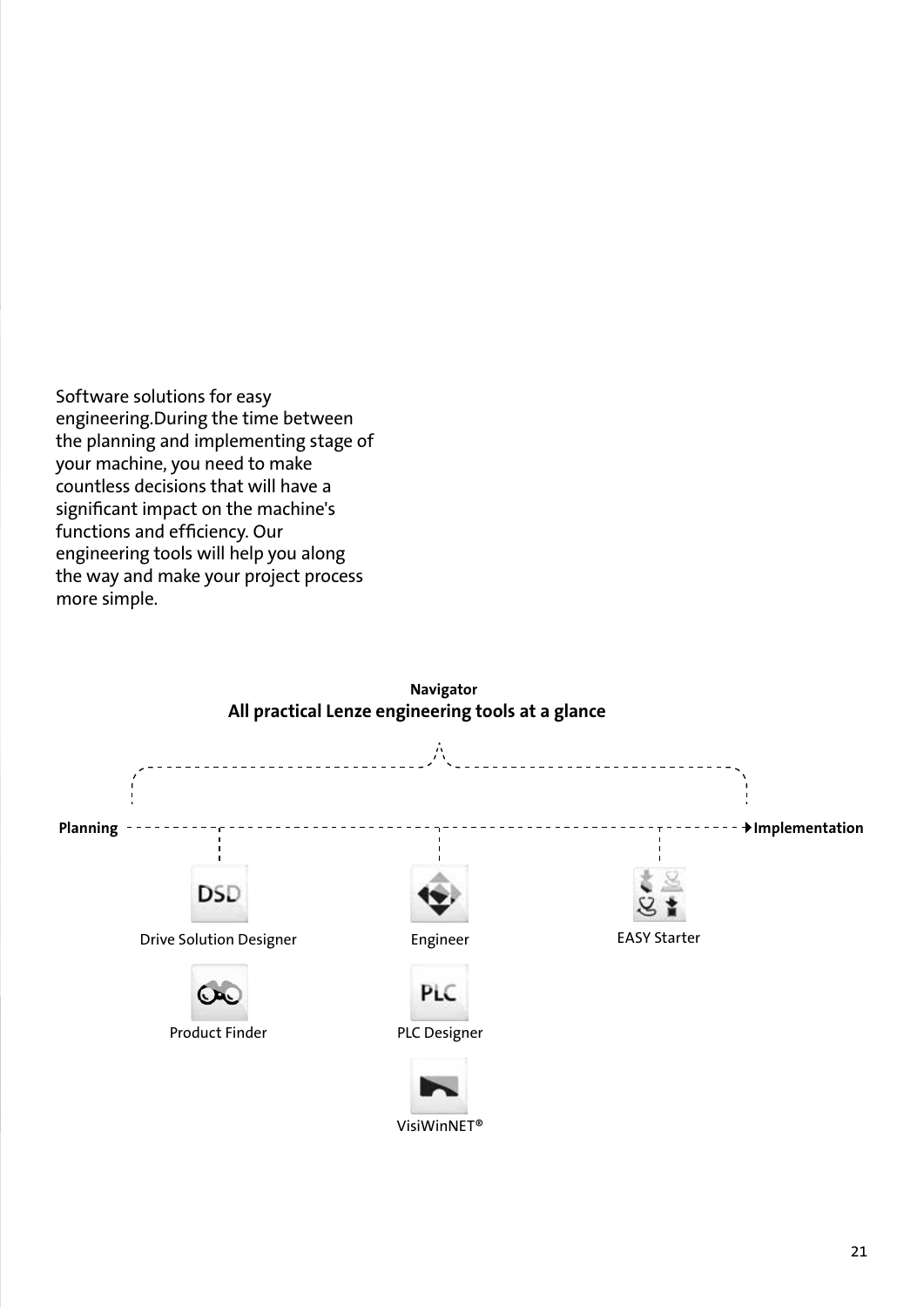Software solutions for easy engineering.During the time between the planning and implementing stage of your machine, you need to make countless decisions that will have a significant impact on the machine's functions and efficiency. Our engineering tools will help you along the way and make your project process more simple.

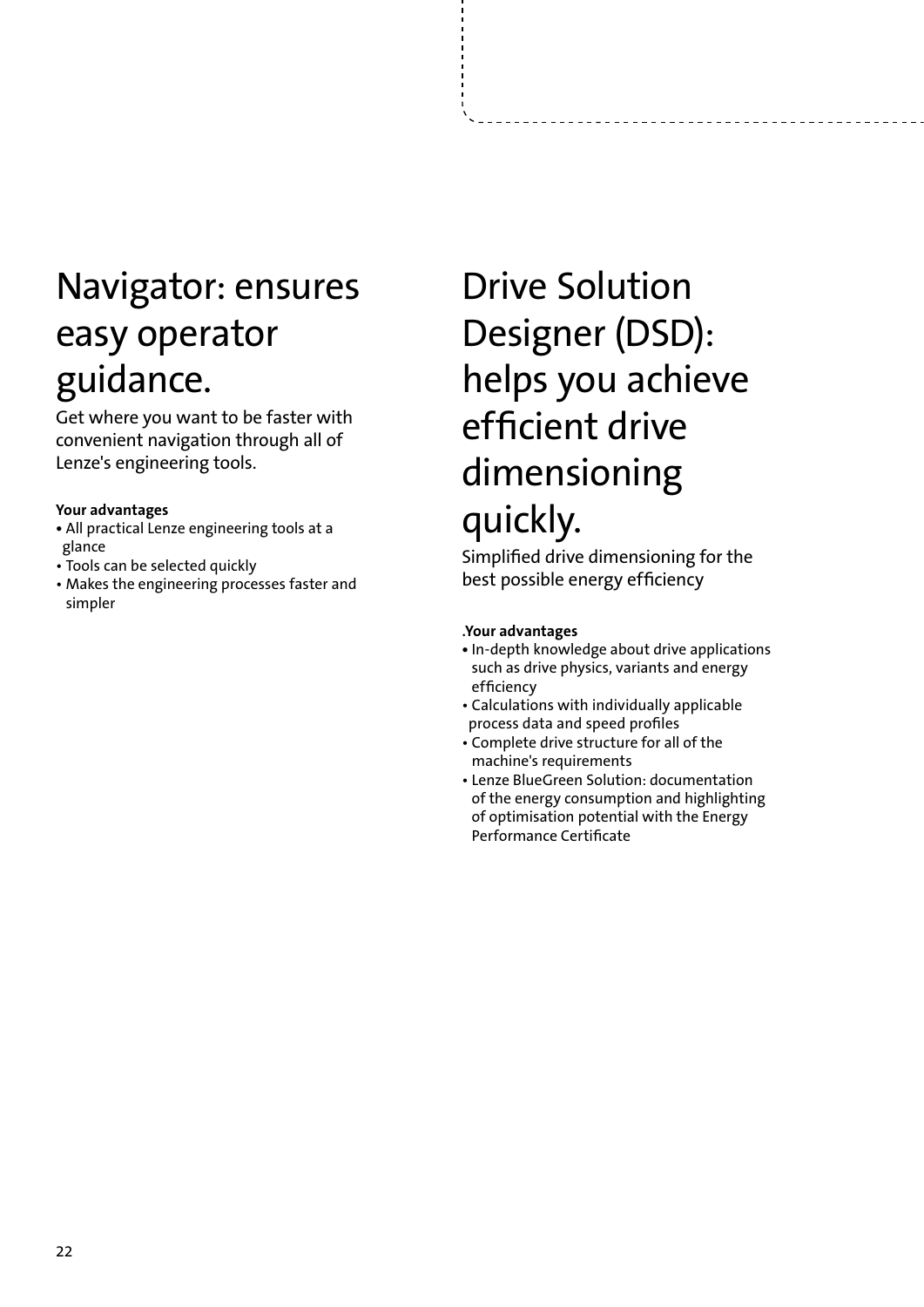### Navigator: ensures easy operator guidance.

Get where you want to be faster with convenient navigation through all of Lenze's engineering tools.

#### **Your advantages**

- **•** All practical Lenze engineering tools at a glance
- Tools can be selected quickly
- Makes the engineering processes faster and simpler

### Drive Solution Designer (DSD): helps you achieve efficient drive dimensioning quickly.

Simplified drive dimensioning for the best possible energy efficiency

#### .**Your advantages**

- In-depth knowledge about drive applications such as drive physics, variants and energy efficiency
- Calculations with individually applicable process data and speed profiles
- Complete drive structure for all of the machine's requirements
- Lenze BlueGreen Solution: documentation of the energy consumption and highlighting of optimisation potential with the Energy Performance Certificate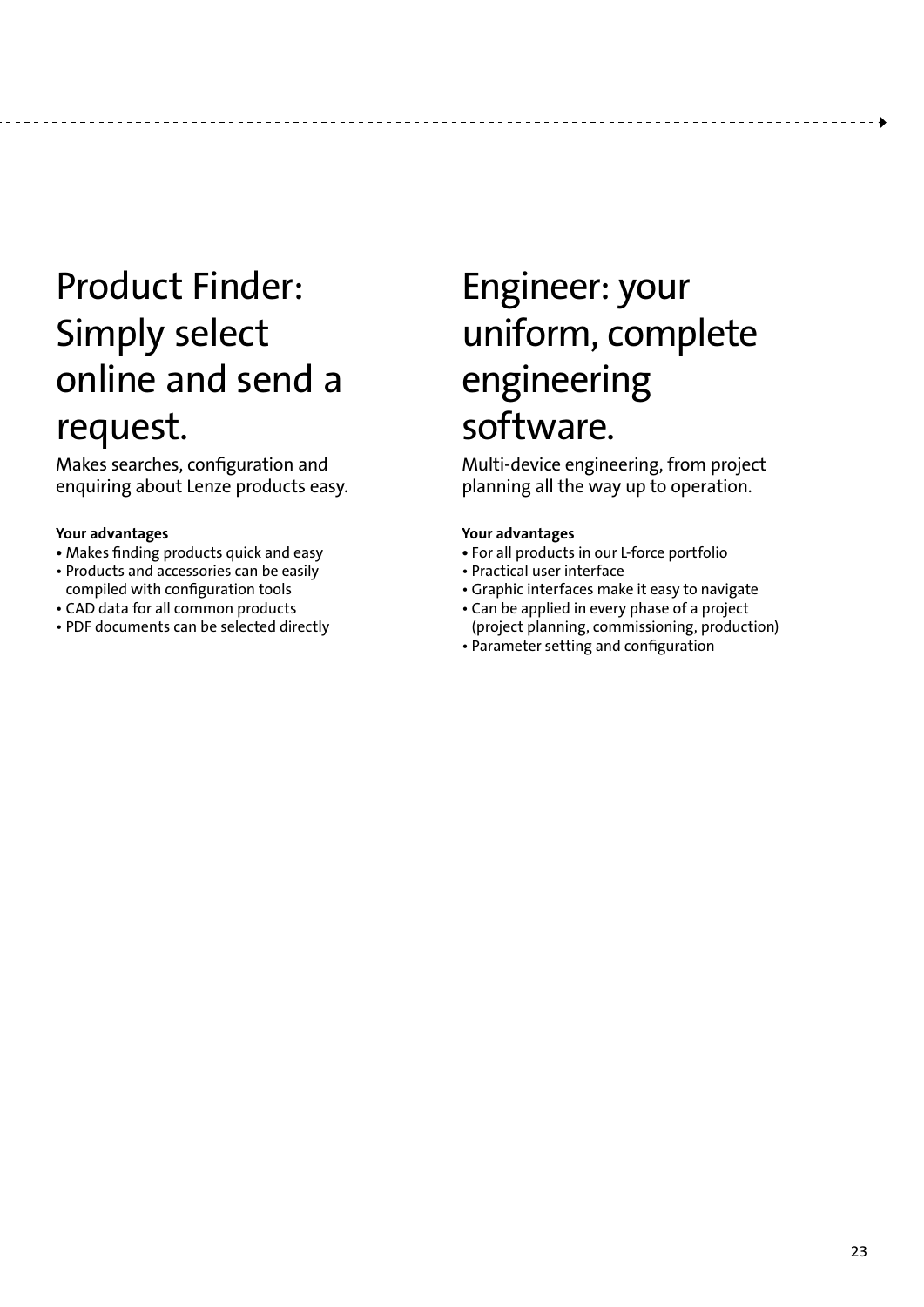### Product Finder: Simply select online and send a request.

Makes searches, configuration and enquiring about Lenze products easy.

#### **Your advantages**

- Makes finding products quick and easy
- Products and accessories can be easily compiled with configuration tools
- CAD data for all common products
- PDF documents can be selected directly

### Engineer: your uniform, complete engineering software.

Multi-device engineering, from project planning all the way up to operation.

#### **Your advantages**

-------------------------------

- For all products in our L-force portfolio
- Practical user interface
- Graphic interfaces make it easy to navigate
- Can be applied in every phase of a project (project planning, commissioning, production)
- Parameter setting and configuration

-------------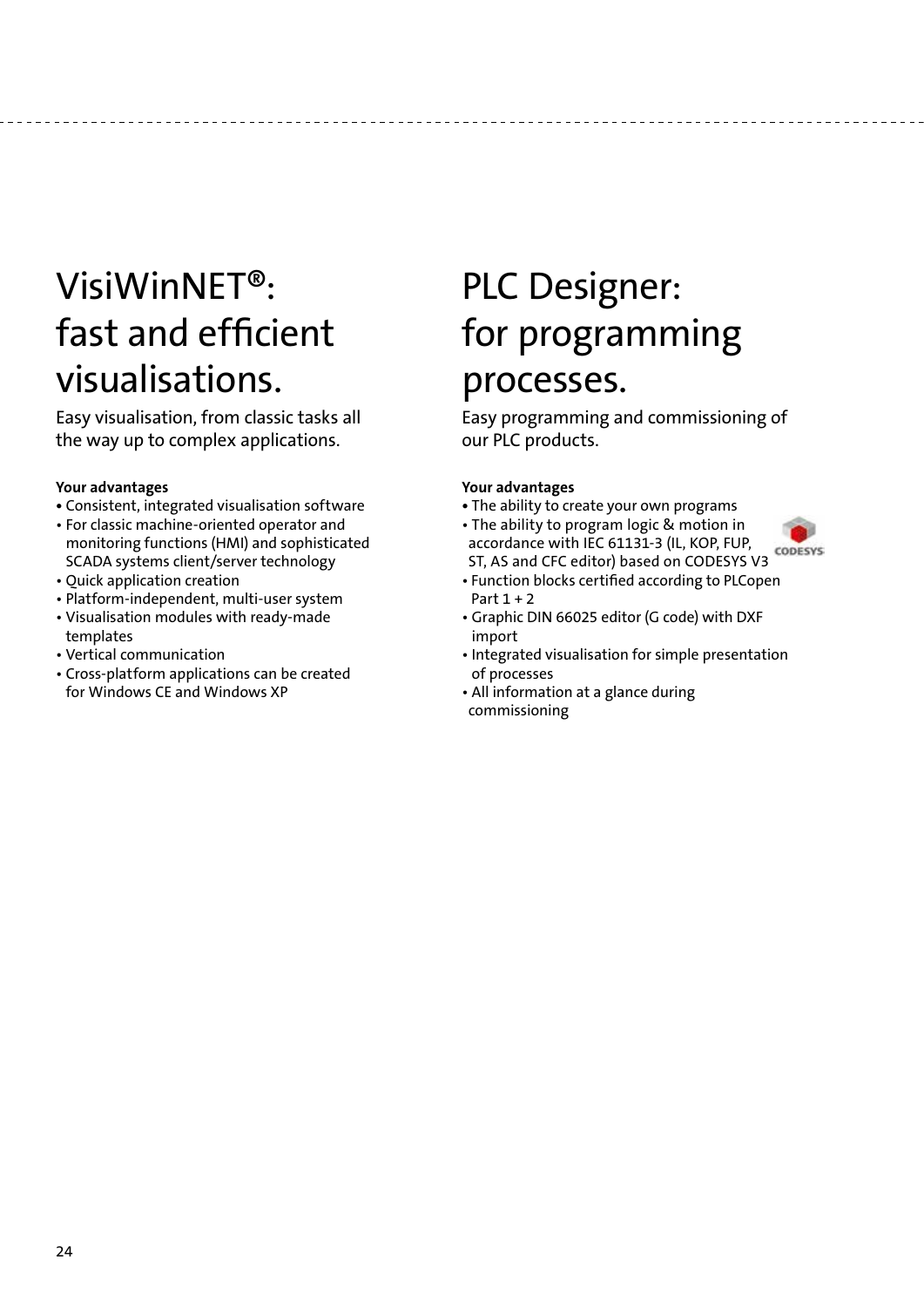### VisiWinNET®: fast and efficient visualisations.

Easy visualisation, from classic tasks all the way up to complex applications.

#### **Your advantages**

- Consistent, integrated visualisation software
- For classic machine-oriented operator and monitoring functions (HMI) and sophisticated SCADA systems client/server technology
- Quick application creation
- Platform-independent, multi-user system
- Visualisation modules with ready-made templates
- Vertical communication
- Cross-platform applications can be created for Windows CE and Windows XP

### PLC Designer: for programming processes.

Easy programming and commissioning of our PLC products.

#### **Your advantages**

- The ability to create your own programs
- The ability to program logic & motion in accordance with IEC 61131-3 (IL, KOP, FUP, CODESYS ST, AS and CFC editor) based on CODESYS V3
- Function blocks certified according to PLCopen Part 1 + 2
- Graphic DIN 66025 editor (G code) with DXF import
- Integrated visualisation for simple presentation of processes
- All information at a glance during commissioning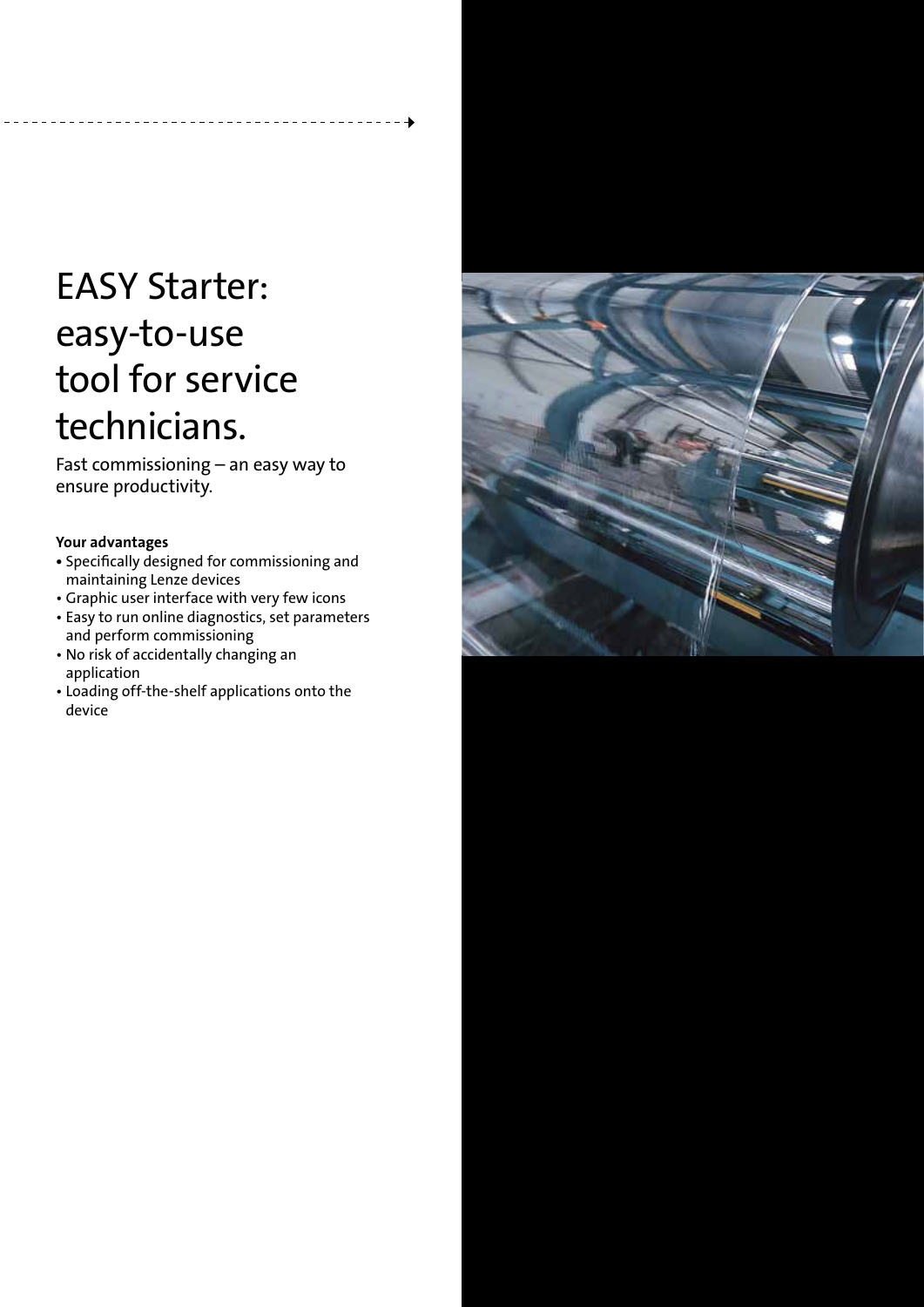### EASY Starter: easy-to-use tool for service technicians.

Fast commissioning – an easy way to ensure productivity.

#### **Your advantages**

- Specifically designed for commissioning and maintaining Lenze devices
- Graphic user interface with very few icons
- Easy to run online diagnostics, set parameters and perform commissioning
- No risk of accidentally changing an application
- Loading off-the-shelf applications onto the device

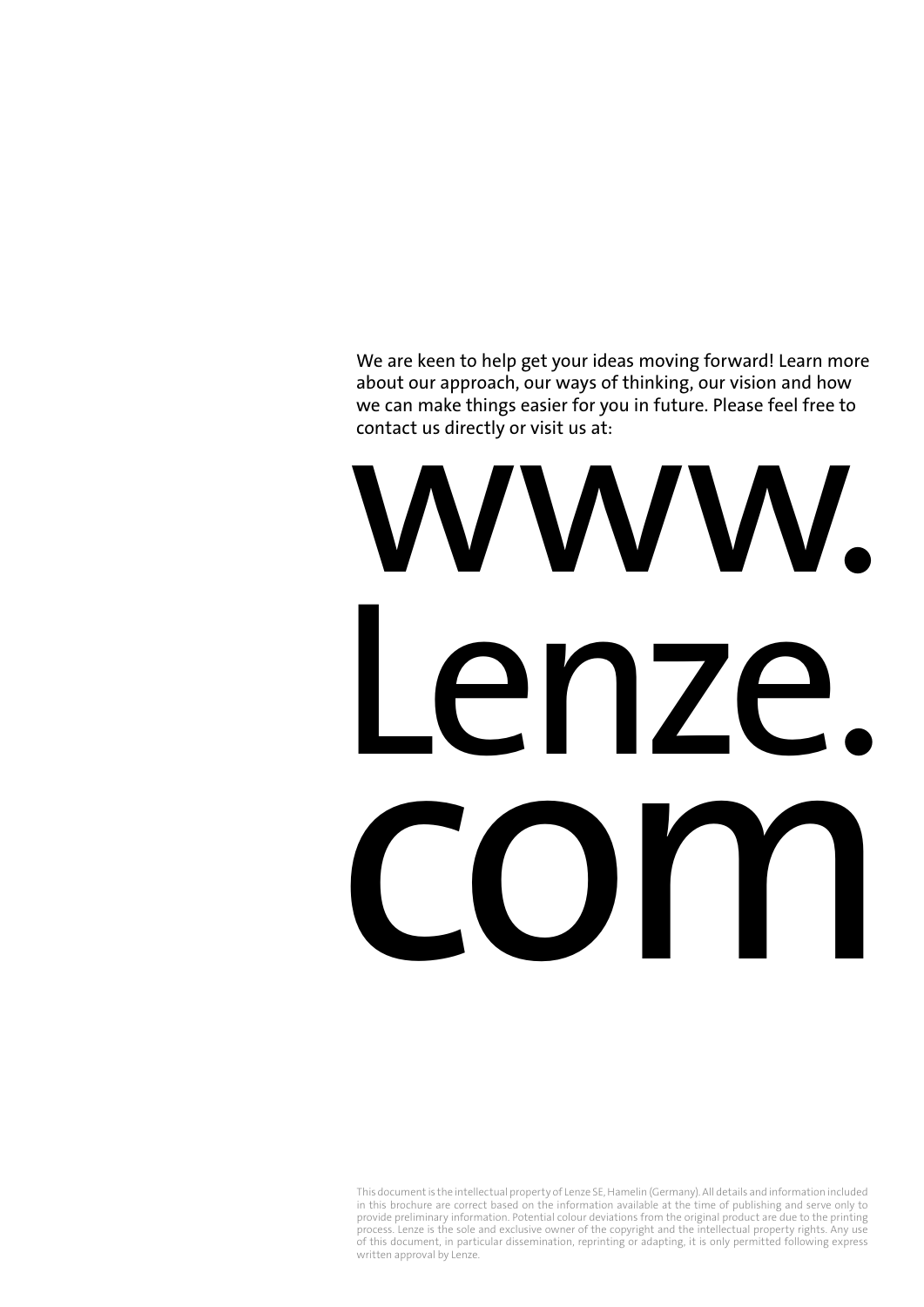We are keen to help get your ideas moving forward! Learn more about our approach, our ways of thinking, our vision and how we can make things easier for you in future. Please feel free to contact us directly or visit us at:

# www. Lenze. com

This document is the intellectual property of Lenze SE, Hamelin (Germany). All details and information included in this brochure are correct based on the information available at the time of publishing and serve only to provide preliminary information. Potential colour deviations from the original product are due to the printing process. Lenze is the sole and exclusive owner of the copyright and the intellectual property rights. Any use of this document, in particular dissemination, reprinting or adapting, it is only permitted following express written approval by Lenze.